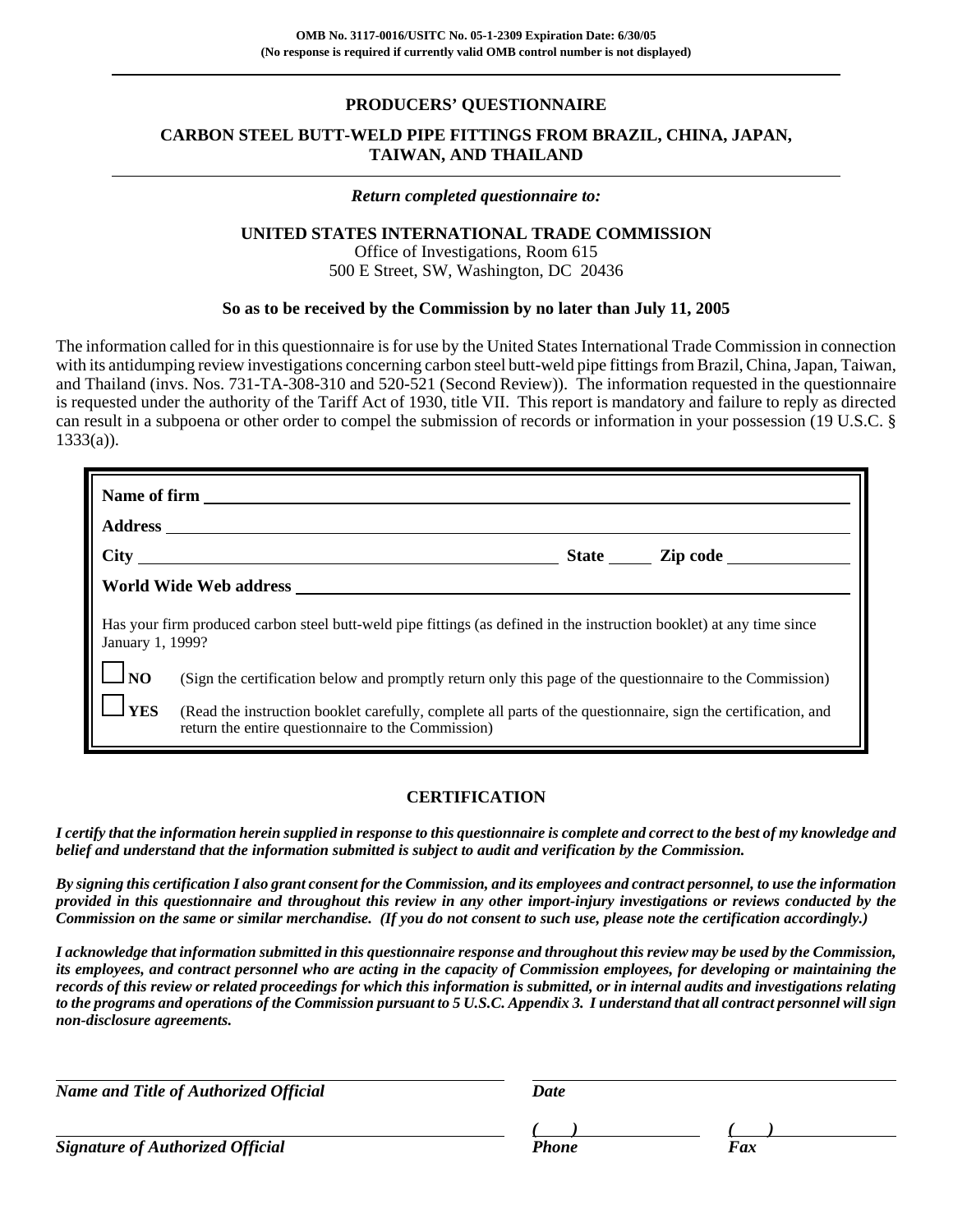### **PRODUCERS' QUESTIONNAIRE**

# **CARBON STEEL BUTT-WELD PIPE FITTINGS FROM BRAZIL, CHINA, JAPAN, TAIWAN, AND THAILAND**

#### *Return completed questionnaire to:*

#### **UNITED STATES INTERNATIONAL TRADE COMMISSION**

Office of Investigations, Room 615 500 E Street, SW, Washington, DC 20436

### **So as to be received by the Commission by no later than July 11, 2005**

The information called for in this questionnaire is for use by the United States International Trade Commission in connection with its antidumping review investigations concerning carbon steel butt-weld pipe fittings from Brazil, China, Japan, Taiwan, and Thailand (invs. Nos. 731-TA-308-310 and 520-521 (Second Review)). The information requested in the questionnaire is requested under the authority of the Tariff Act of 1930, title VII. This report is mandatory and failure to reply as directed can result in a subpoena or other order to compel the submission of records or information in your possession (19 U.S.C. §  $1333(a)$ ).

|                  | Name of firm <u>superior and the set of the set of the set of the set of the set of the set of the set of the set of the set of the set of the set of the set of the set of the set of the set of the set of the set of the set </u> |  |  |  |
|------------------|--------------------------------------------------------------------------------------------------------------------------------------------------------------------------------------------------------------------------------------|--|--|--|
|                  |                                                                                                                                                                                                                                      |  |  |  |
|                  |                                                                                                                                                                                                                                      |  |  |  |
|                  |                                                                                                                                                                                                                                      |  |  |  |
| January 1, 1999? | Has your firm produced carbon steel butt-weld pipe fittings (as defined in the instruction booklet) at any time since                                                                                                                |  |  |  |
| $\Box$ NO        | (Sign the certification below and promptly return only this page of the questionnaire to the Commission)                                                                                                                             |  |  |  |
| $\mathbf{J}$ YES | (Read the instruction booklet carefully, complete all parts of the questionnaire, sign the certification, and<br>return the entire questionnaire to the Commission)                                                                  |  |  |  |

### **CERTIFICATION**

*I certify that the information herein supplied in response to this questionnaire is complete and correct to the best of my knowledge and belief and understand that the information submitted is subject to audit and verification by the Commission.*

*By signing this certification I also grant consent for the Commission, and its employees and contract personnel, to use the information provided in this questionnaire and throughout this review in any other import-injury investigations or reviews conducted by the Commission on the same or similar merchandise. (If you do not consent to such use, please note the certification accordingly.)*

*I acknowledge that information submitted in this questionnaire response and throughout this review may be used by the Commission, its employees, and contract personnel who are acting in the capacity of Commission employees, for developing or maintaining the records of this review or related proceedings for which this information is submitted, or in internal audits and investigations relating to the programs and operations of the Commission pursuant to 5 U.S.C. Appendix 3. I understand that all contract personnel will sign non-disclosure agreements.*

*Name and Title of Authorized Official* Date Date

**Signature of Authorized Official** 

*( ) ( )*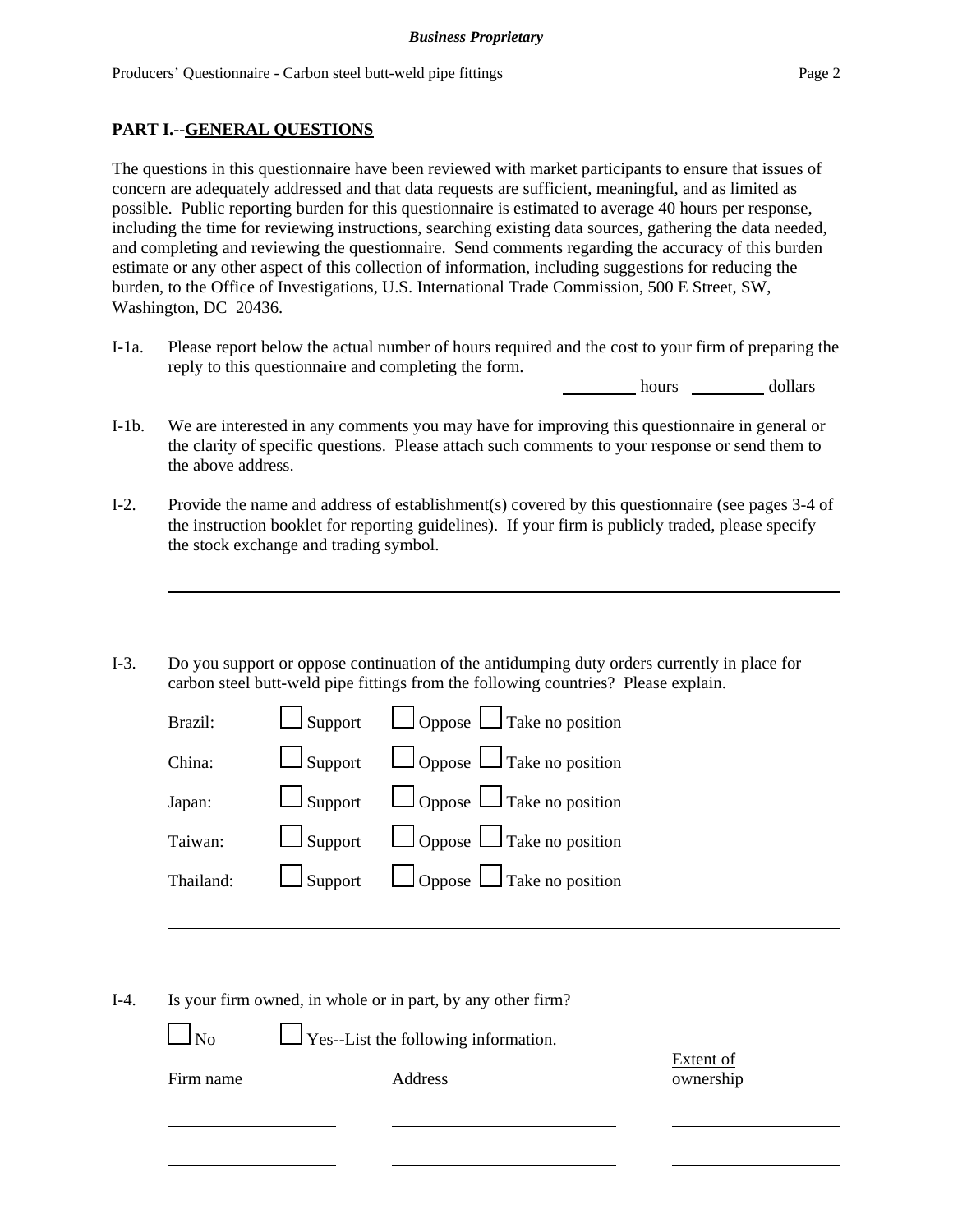### **PART I.--GENERAL QUESTIONS**

The questions in this questionnaire have been reviewed with market participants to ensure that issues of concern are adequately addressed and that data requests are sufficient, meaningful, and as limited as possible. Public reporting burden for this questionnaire is estimated to average 40 hours per response, including the time for reviewing instructions, searching existing data sources, gathering the data needed, and completing and reviewing the questionnaire. Send comments regarding the accuracy of this burden estimate or any other aspect of this collection of information, including suggestions for reducing the burden, to the Office of Investigations, U.S. International Trade Commission, 500 E Street, SW, Washington, DC 20436.

I-1a. Please report below the actual number of hours required and the cost to your firm of preparing the reply to this questionnaire and completing the form.

hours dollars

- I-1b. We are interested in any comments you may have for improving this questionnaire in general or the clarity of specific questions. Please attach such comments to your response or send them to the above address.
- I-2. Provide the name and address of establishment(s) covered by this questionnaire (see pages 3-4 of the instruction booklet for reporting guidelines). If your firm is publicly traded, please specify the stock exchange and trading symbol.
- I-3. Do you support or oppose continuation of the antidumping duty orders currently in place for carbon steel butt-weld pipe fittings from the following countries? Please explain.

| Brazil:   | $\Box$ Support | $\Box$ Oppose $\Box$ Take no position |
|-----------|----------------|---------------------------------------|
| China:    | $\Box$ Support | $\Box$ Oppose $\Box$ Take no position |
| Japan:    | $\Box$ Support | $\Box$ Oppose $\Box$ Take no position |
| Taiwan:   | $\Box$ Support | $\Box$ Oppose $\Box$ Take no position |
| Thailand: | $\Box$ Support | $\Box$ Oppose $\Box$ Take no position |
|           |                |                                       |

I-4. Is your firm owned, in whole or in part, by any other firm?

 $\perp$  Yes--List the following information.

Extent of Firm name Address and Address ownership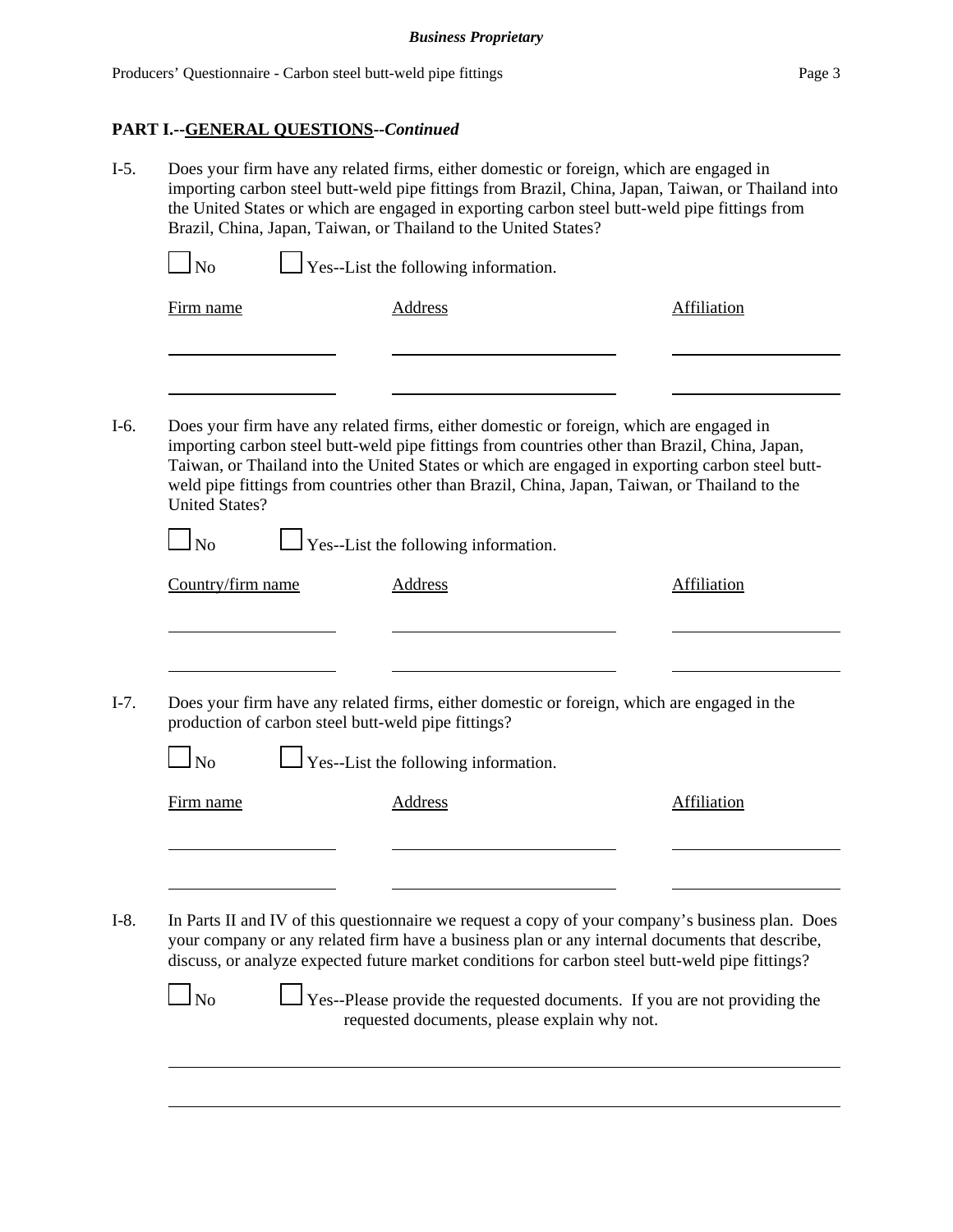#### **PART I.--GENERAL QUESTIONS--***Continued*

- I-5. Does your firm have any related firms, either domestic or foreign, which are engaged in importing carbon steel butt-weld pipe fittings from Brazil, China, Japan, Taiwan, or Thailand into the United States or which are engaged in exporting carbon steel butt-weld pipe fittings from Brazil, China, Japan, Taiwan, or Thailand to the United States?  $\Box$  No  $\Box$  Yes--List the following information. Firm name Address Address Affiliation
- I-6. Does your firm have any related firms, either domestic or foreign, which are engaged in importing carbon steel butt-weld pipe fittings from countries other than Brazil, China, Japan, Taiwan, or Thailand into the United States or which are engaged in exporting carbon steel buttweld pipe fittings from countries other than Brazil, China, Japan, Taiwan, or Thailand to the United States?

 $\Box$  No  $\Box$  Yes--List the following information.

| Does your firm have any related firms, either domestic or foreign, which are engaged in the<br>production of carbon steel butt-weld pipe fittings?<br>$\Box$ Yes--List the following information.<br>N <sub>0</sub><br>Firm name<br>Address<br>Affiliation | Country/firm name | Address | Affiliation |
|------------------------------------------------------------------------------------------------------------------------------------------------------------------------------------------------------------------------------------------------------------|-------------------|---------|-------------|
|                                                                                                                                                                                                                                                            |                   |         |             |
|                                                                                                                                                                                                                                                            |                   |         |             |
|                                                                                                                                                                                                                                                            |                   |         |             |
|                                                                                                                                                                                                                                                            |                   |         |             |
|                                                                                                                                                                                                                                                            |                   |         |             |
|                                                                                                                                                                                                                                                            |                   |         |             |
|                                                                                                                                                                                                                                                            |                   |         |             |
|                                                                                                                                                                                                                                                            |                   |         |             |
| your company or any related firm have a business plan or any internal documents that describe,<br>discuss, or analyze expected future market conditions for carbon steel butt-weld pipe fittings?                                                          |                   |         |             |

 $\Box$  No  $\Box$  Yes--Please provide the requested documents. If you are not providing the requested documents, please explain why not.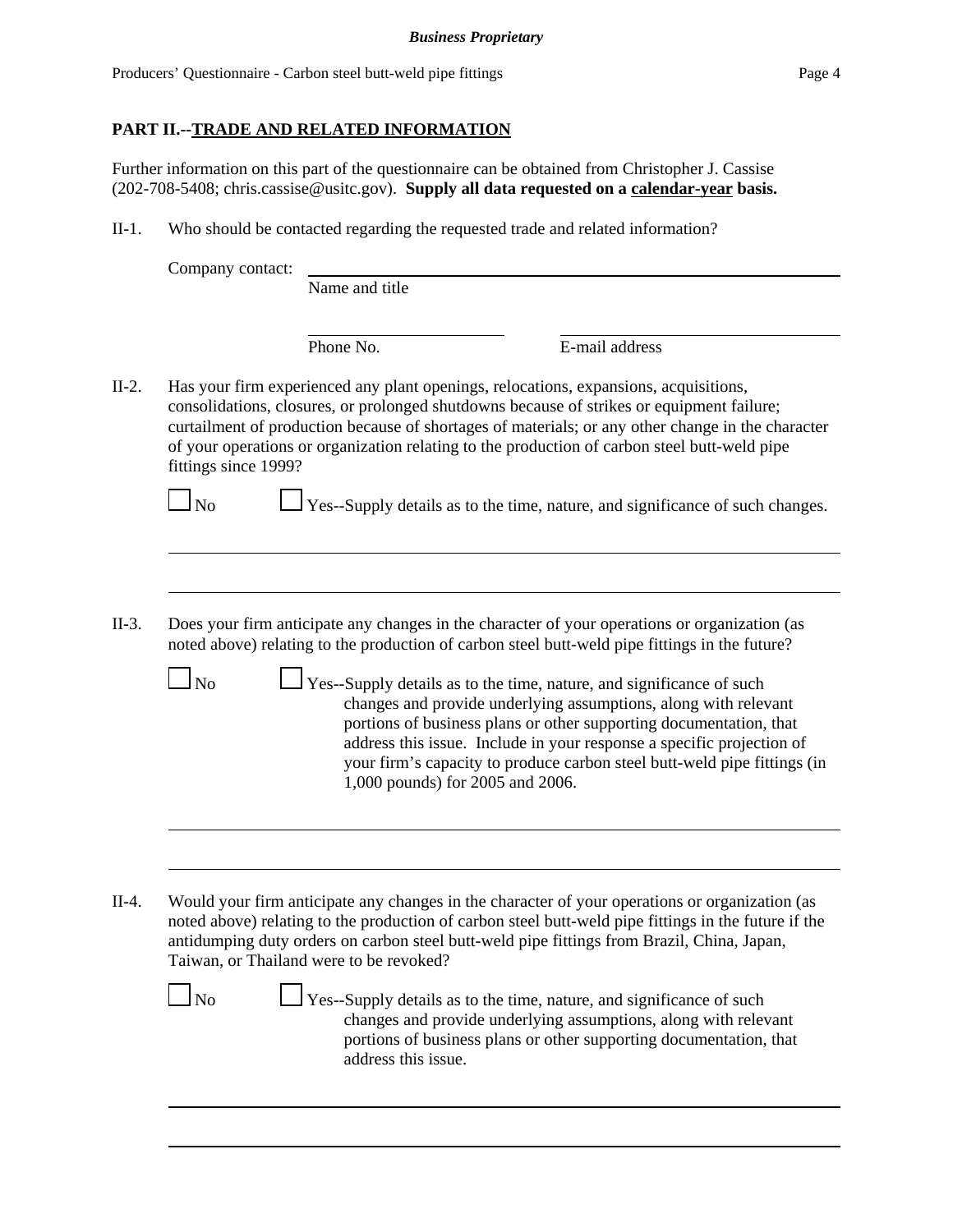# **PART II.--TRADE AND RELATED INFORMATION**

Further information on this part of the questionnaire can be obtained from Christopher J. Cassise (202-708-5408; chris.cassise@usitc.gov). **Supply all data requested on a calendar-year basis.**

II-1. Who should be contacted regarding the requested trade and related information?

| Company contact:     |                                         |                                                                                                                                                                                                                                                                                                                                                                                        |
|----------------------|-----------------------------------------|----------------------------------------------------------------------------------------------------------------------------------------------------------------------------------------------------------------------------------------------------------------------------------------------------------------------------------------------------------------------------------------|
|                      | Name and title                          |                                                                                                                                                                                                                                                                                                                                                                                        |
|                      | Phone No.                               | E-mail address                                                                                                                                                                                                                                                                                                                                                                         |
| fittings since 1999? |                                         | Has your firm experienced any plant openings, relocations, expansions, acquisitions,<br>consolidations, closures, or prolonged shutdowns because of strikes or equipment failure;<br>curtailment of production because of shortages of materials; or any other change in the character<br>of your operations or organization relating to the production of carbon steel butt-weld pipe |
| $\ln$                |                                         | Yes--Supply details as to the time, nature, and significance of such changes.                                                                                                                                                                                                                                                                                                          |
|                      |                                         |                                                                                                                                                                                                                                                                                                                                                                                        |
|                      |                                         | Does your firm anticipate any changes in the character of your operations or organization (as<br>noted above) relating to the production of carbon steel butt-weld pipe fittings in the future?                                                                                                                                                                                        |
| $\Box$ No            | 1,000 pounds) for 2005 and 2006.        | $\perp$ Yes--Supply details as to the time, nature, and significance of such<br>changes and provide underlying assumptions, along with relevant<br>portions of business plans or other supporting documentation, that<br>address this issue. Include in your response a specific projection of<br>your firm's capacity to produce carbon steel butt-weld pipe fittings (in             |
|                      |                                         |                                                                                                                                                                                                                                                                                                                                                                                        |
|                      |                                         |                                                                                                                                                                                                                                                                                                                                                                                        |
|                      | Taiwan, or Thailand were to be revoked? | Would your firm anticipate any changes in the character of your operations or organization (as<br>noted above) relating to the production of carbon steel butt-weld pipe fittings in the future if the<br>antidumping duty orders on carbon steel butt-weld pipe fittings from Brazil, China, Japan,                                                                                   |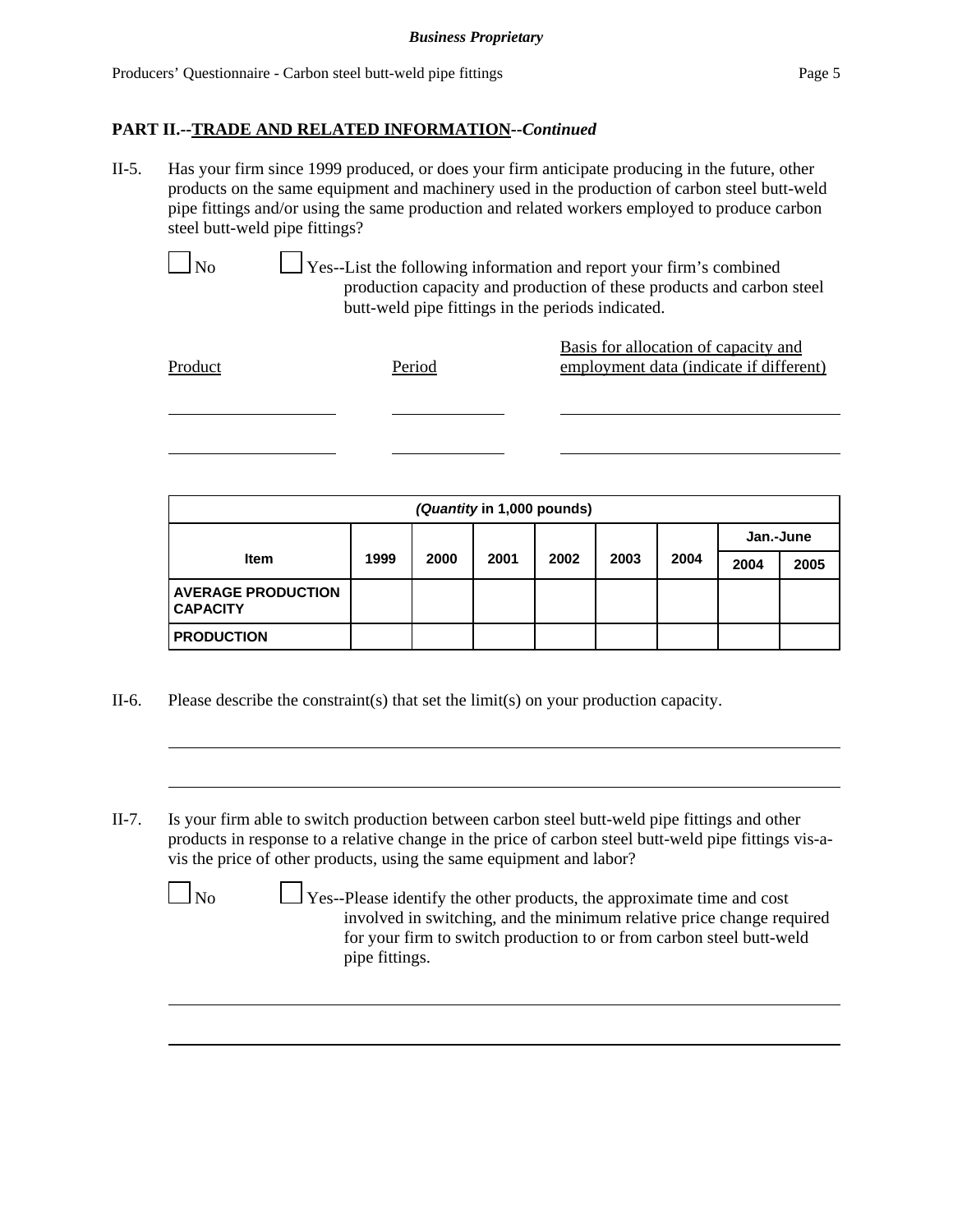II-5. Has your firm since 1999 produced, or does your firm anticipate producing in the future, other products on the same equipment and machinery used in the production of carbon steel butt-weld pipe fittings and/or using the same production and related workers employed to produce carbon steel butt-weld pipe fittings?

 $\Box$  Yes--List the following information and report your firm's combined production capacity and production of these products and carbon steel butt-weld pipe fittings in the periods indicated.

| Product | Period | Basis for allocation of capacity and<br>employment data (indicate if different) |
|---------|--------|---------------------------------------------------------------------------------|
|         |        |                                                                                 |

| (Quantity in 1,000 pounds)                   |      |      |      |      |      |      |           |      |
|----------------------------------------------|------|------|------|------|------|------|-----------|------|
|                                              |      |      |      |      |      |      | Jan.-June |      |
| <b>Item</b>                                  | 1999 | 2000 | 2001 | 2002 | 2003 | 2004 | 2004      | 2005 |
| <b>AVERAGE PRODUCTION</b><br><b>CAPACITY</b> |      |      |      |      |      |      |           |      |
| <b>PRODUCTION</b>                            |      |      |      |      |      |      |           |      |

- II-6. Please describe the constraint(s) that set the limit(s) on your production capacity.
- II-7. Is your firm able to switch production between carbon steel butt-weld pipe fittings and other products in response to a relative change in the price of carbon steel butt-weld pipe fittings vis-avis the price of other products, using the same equipment and labor?

 $\Box$  No  $\Box$  Yes--Please identify the other products, the approximate time and cost involved in switching, and the minimum relative price change required for your firm to switch production to or from carbon steel butt-weld pipe fittings.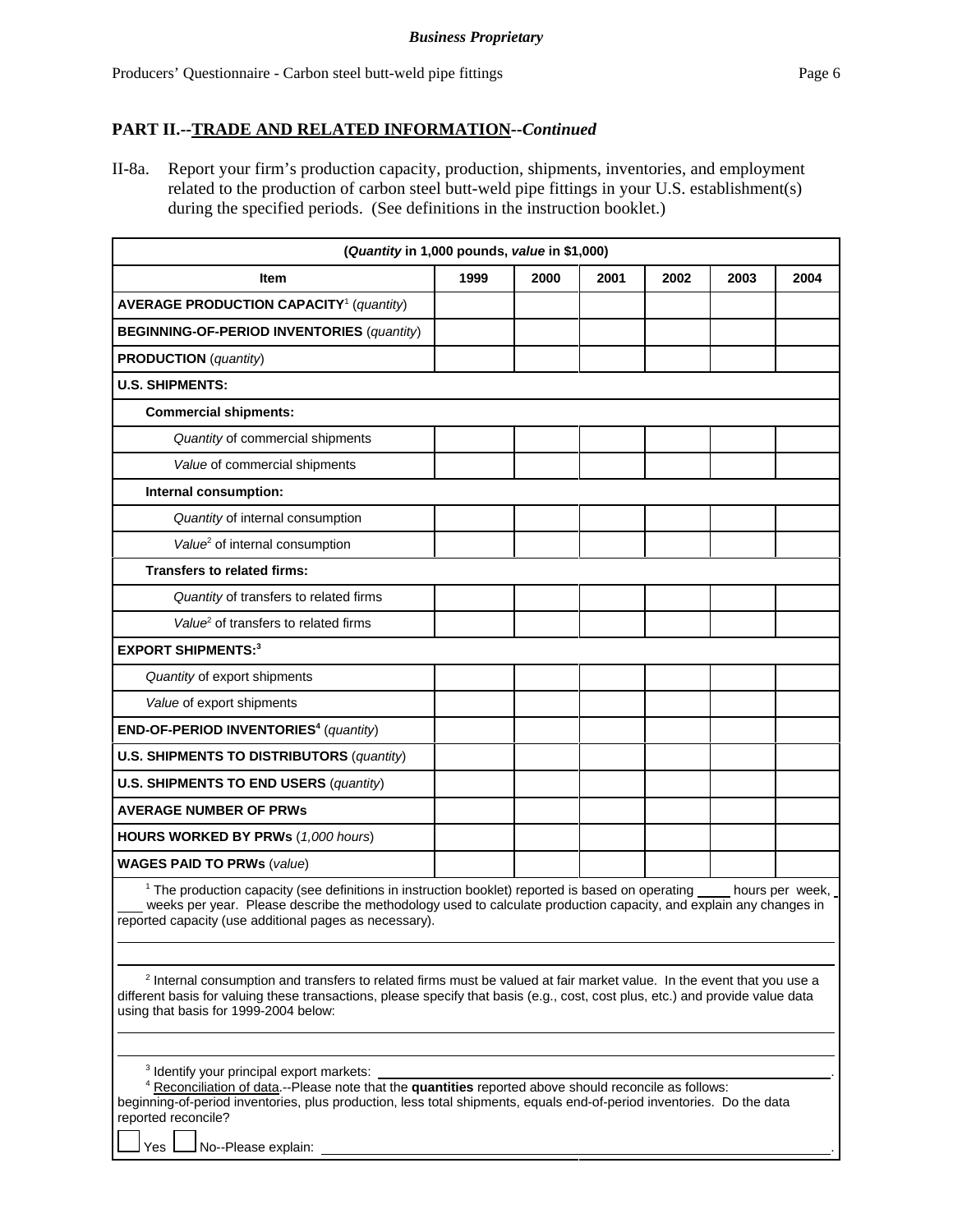II-8a. Report your firm's production capacity, production, shipments, inventories, and employment related to the production of carbon steel butt-weld pipe fittings in your U.S. establishment(s) during the specified periods. (See definitions in the instruction booklet.)

|                                                                                                                                                                                                                                                                                                              | (Quantity in 1,000 pounds, value in \$1,000) |      |      |      |      |      |
|--------------------------------------------------------------------------------------------------------------------------------------------------------------------------------------------------------------------------------------------------------------------------------------------------------------|----------------------------------------------|------|------|------|------|------|
| <b>Item</b>                                                                                                                                                                                                                                                                                                  | 1999                                         | 2000 | 2001 | 2002 | 2003 | 2004 |
| <b>AVERAGE PRODUCTION CAPACITY<sup>1</sup></b> (quantity)                                                                                                                                                                                                                                                    |                                              |      |      |      |      |      |
| <b>BEGINNING-OF-PERIOD INVENTORIES (quantity)</b>                                                                                                                                                                                                                                                            |                                              |      |      |      |      |      |
| <b>PRODUCTION</b> (quantity)                                                                                                                                                                                                                                                                                 |                                              |      |      |      |      |      |
| <b>U.S. SHIPMENTS:</b>                                                                                                                                                                                                                                                                                       |                                              |      |      |      |      |      |
| <b>Commercial shipments:</b>                                                                                                                                                                                                                                                                                 |                                              |      |      |      |      |      |
| Quantity of commercial shipments                                                                                                                                                                                                                                                                             |                                              |      |      |      |      |      |
| Value of commercial shipments                                                                                                                                                                                                                                                                                |                                              |      |      |      |      |      |
| Internal consumption:                                                                                                                                                                                                                                                                                        |                                              |      |      |      |      |      |
| Quantity of internal consumption                                                                                                                                                                                                                                                                             |                                              |      |      |      |      |      |
| Value <sup>2</sup> of internal consumption                                                                                                                                                                                                                                                                   |                                              |      |      |      |      |      |
| Transfers to related firms:                                                                                                                                                                                                                                                                                  |                                              |      |      |      |      |      |
| Quantity of transfers to related firms                                                                                                                                                                                                                                                                       |                                              |      |      |      |      |      |
| Value <sup>2</sup> of transfers to related firms                                                                                                                                                                                                                                                             |                                              |      |      |      |      |      |
| <b>EXPORT SHIPMENTS:3</b>                                                                                                                                                                                                                                                                                    |                                              |      |      |      |      |      |
| Quantity of export shipments                                                                                                                                                                                                                                                                                 |                                              |      |      |      |      |      |
| Value of export shipments                                                                                                                                                                                                                                                                                    |                                              |      |      |      |      |      |
| END-OF-PERIOD INVENTORIES <sup>4</sup> (quantity)                                                                                                                                                                                                                                                            |                                              |      |      |      |      |      |
| <b>U.S. SHIPMENTS TO DISTRIBUTORS (quantity)</b>                                                                                                                                                                                                                                                             |                                              |      |      |      |      |      |
| <b>U.S. SHIPMENTS TO END USERS (quantity)</b>                                                                                                                                                                                                                                                                |                                              |      |      |      |      |      |
| <b>AVERAGE NUMBER OF PRWs</b>                                                                                                                                                                                                                                                                                |                                              |      |      |      |      |      |
| <b>HOURS WORKED BY PRWs (1,000 hours)</b>                                                                                                                                                                                                                                                                    |                                              |      |      |      |      |      |
| <b>WAGES PAID TO PRWs (value)</b>                                                                                                                                                                                                                                                                            |                                              |      |      |      |      |      |
| $1$ The production capacity (see definitions in instruction booklet) reported is based on operating hours per week,<br>weeks per year. Please describe the methodology used to calculate production capacity, and explain any changes in<br>reported capacity (use additional pages as necessary).           |                                              |      |      |      |      |      |
| <sup>2</sup> Internal consumption and transfers to related firms must be valued at fair market value. In the event that you use a<br>different basis for valuing these transactions, please specify that basis (e.g., cost, cost plus, etc.) and provide value data<br>using that basis for 1999-2004 below: |                                              |      |      |      |      |      |

3 Identify your principal export markets: .

4 Reconciliation of data.--Please note that the **quantities** reported above should reconcile as follows: beginning-of-period inventories, plus production, less total shipments, equals end-of-period inventories. Do the data reported reconcile?

Yes **L** No--Please explain: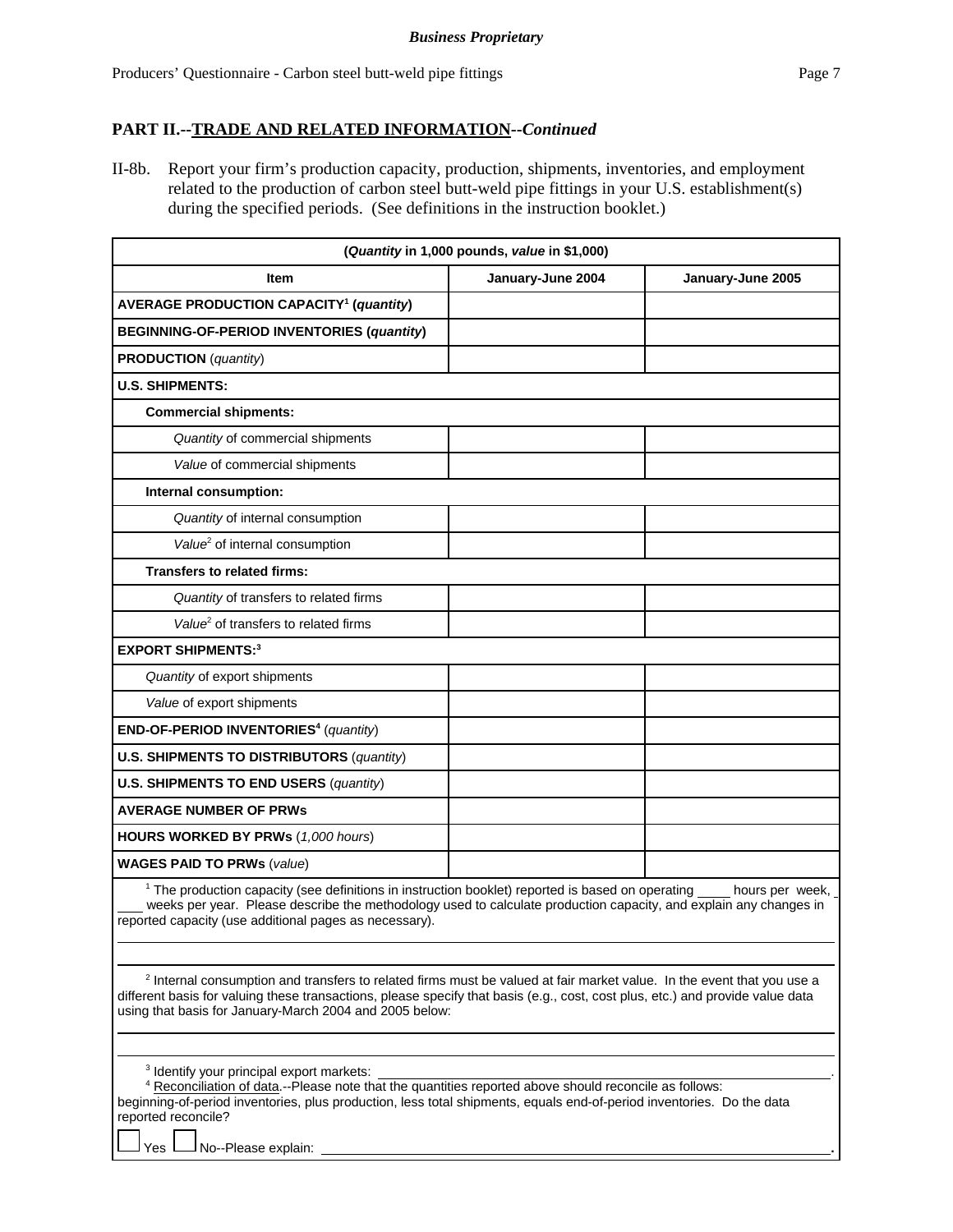II-8b. Report your firm's production capacity, production, shipments, inventories, and employment related to the production of carbon steel butt-weld pipe fittings in your U.S. establishment(s) during the specified periods. (See definitions in the instruction booklet.)

| (Quantity in 1,000 pounds, value in \$1,000)                                                                                                                                                                                                                                                                                   |                   |                   |  |  |
|--------------------------------------------------------------------------------------------------------------------------------------------------------------------------------------------------------------------------------------------------------------------------------------------------------------------------------|-------------------|-------------------|--|--|
| <b>Item</b>                                                                                                                                                                                                                                                                                                                    | January-June 2004 | January-June 2005 |  |  |
| <b>AVERAGE PRODUCTION CAPACITY<sup>1</sup> (quantity)</b>                                                                                                                                                                                                                                                                      |                   |                   |  |  |
| <b>BEGINNING-OF-PERIOD INVENTORIES (quantity)</b>                                                                                                                                                                                                                                                                              |                   |                   |  |  |
| <b>PRODUCTION</b> (quantity)                                                                                                                                                                                                                                                                                                   |                   |                   |  |  |
| <b>U.S. SHIPMENTS:</b>                                                                                                                                                                                                                                                                                                         |                   |                   |  |  |
| <b>Commercial shipments:</b>                                                                                                                                                                                                                                                                                                   |                   |                   |  |  |
| Quantity of commercial shipments                                                                                                                                                                                                                                                                                               |                   |                   |  |  |
| Value of commercial shipments                                                                                                                                                                                                                                                                                                  |                   |                   |  |  |
| Internal consumption:                                                                                                                                                                                                                                                                                                          |                   |                   |  |  |
| Quantity of internal consumption                                                                                                                                                                                                                                                                                               |                   |                   |  |  |
| Value <sup>2</sup> of internal consumption                                                                                                                                                                                                                                                                                     |                   |                   |  |  |
| <b>Transfers to related firms:</b>                                                                                                                                                                                                                                                                                             |                   |                   |  |  |
| Quantity of transfers to related firms                                                                                                                                                                                                                                                                                         |                   |                   |  |  |
| Value <sup>2</sup> of transfers to related firms                                                                                                                                                                                                                                                                               |                   |                   |  |  |
| <b>EXPORT SHIPMENTS:3</b>                                                                                                                                                                                                                                                                                                      |                   |                   |  |  |
| Quantity of export shipments                                                                                                                                                                                                                                                                                                   |                   |                   |  |  |
| Value of export shipments                                                                                                                                                                                                                                                                                                      |                   |                   |  |  |
| END-OF-PERIOD INVENTORIES <sup>4</sup> (quantity)                                                                                                                                                                                                                                                                              |                   |                   |  |  |
| <b>U.S. SHIPMENTS TO DISTRIBUTORS (quantity)</b>                                                                                                                                                                                                                                                                               |                   |                   |  |  |
| <b>U.S. SHIPMENTS TO END USERS (quantity)</b>                                                                                                                                                                                                                                                                                  |                   |                   |  |  |
| <b>AVERAGE NUMBER OF PRWS</b>                                                                                                                                                                                                                                                                                                  |                   |                   |  |  |
| <b>HOURS WORKED BY PRWs (1,000 hours)</b>                                                                                                                                                                                                                                                                                      |                   |                   |  |  |
| <b>WAGES PAID TO PRWs (value)</b>                                                                                                                                                                                                                                                                                              |                   |                   |  |  |
| <sup>1</sup> The production capacity (see definitions in instruction booklet) reported is based on operating hours per week,<br>weeks per year. Please describe the methodology used to calculate production capacity, and explain any changes in<br>reported capacity (use additional pages as necessary).                    |                   |                   |  |  |
| <sup>2</sup> Internal consumption and transfers to related firms must be valued at fair market value. In the event that you use a<br>different basis for valuing these transactions, please specify that basis (e.g., cost, cost plus, etc.) and provide value data<br>using that basis for January-March 2004 and 2005 below: |                   |                   |  |  |
|                                                                                                                                                                                                                                                                                                                                |                   |                   |  |  |

3 Identify your principal export markets: .

| 4 Reconciliation of data.--Please note that the quantities reported above should reconcile as follows:                |  |
|-----------------------------------------------------------------------------------------------------------------------|--|
| beginning-of-period inventories, plus production, less total shipments, equals end-of-period inventories. Do the data |  |
| reported reconcile?                                                                                                   |  |

Yes  $\Box$  No--Please explain: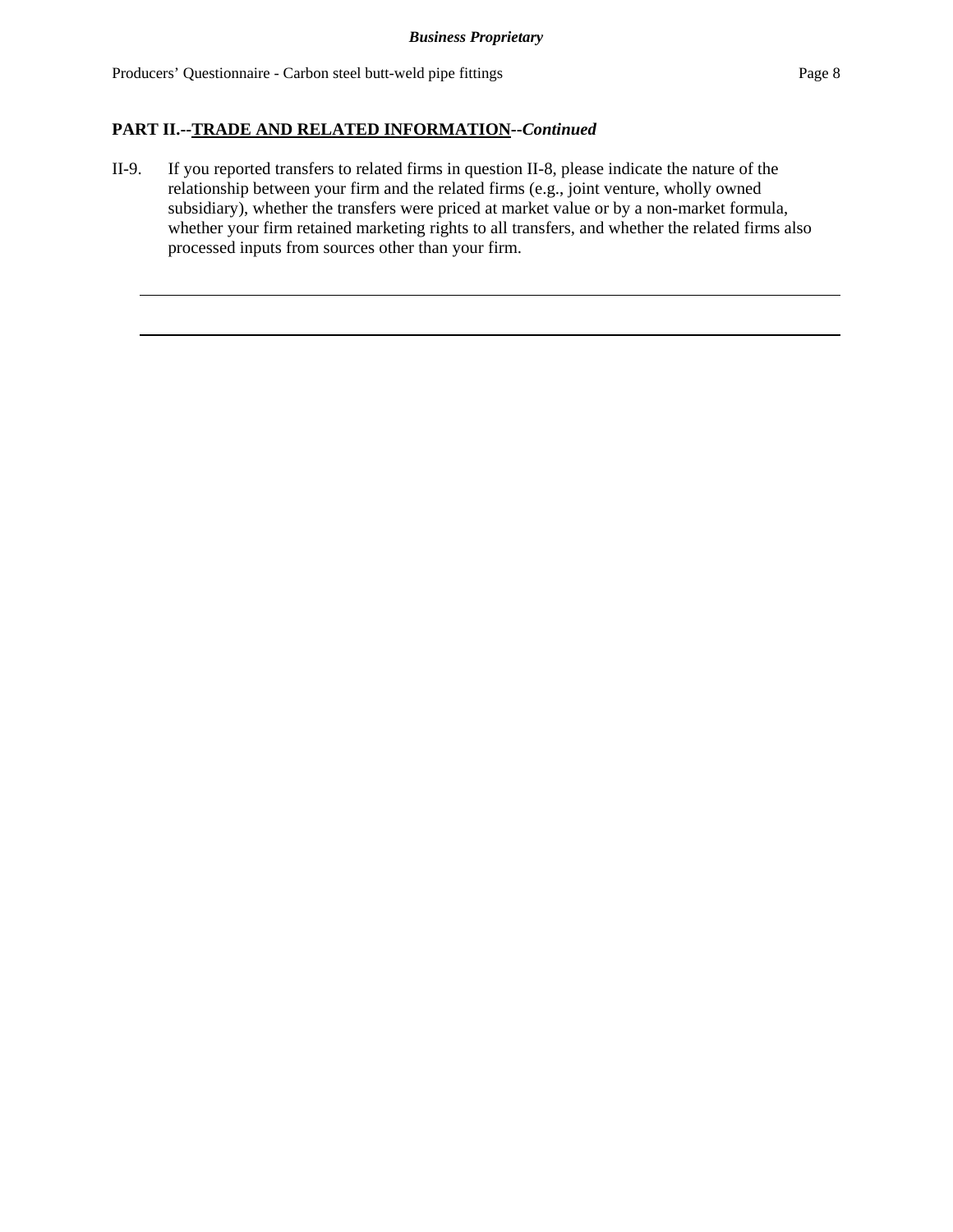II-9. If you reported transfers to related firms in question II-8, please indicate the nature of the relationship between your firm and the related firms (e.g., joint venture, wholly owned subsidiary), whether the transfers were priced at market value or by a non-market formula, whether your firm retained marketing rights to all transfers, and whether the related firms also processed inputs from sources other than your firm.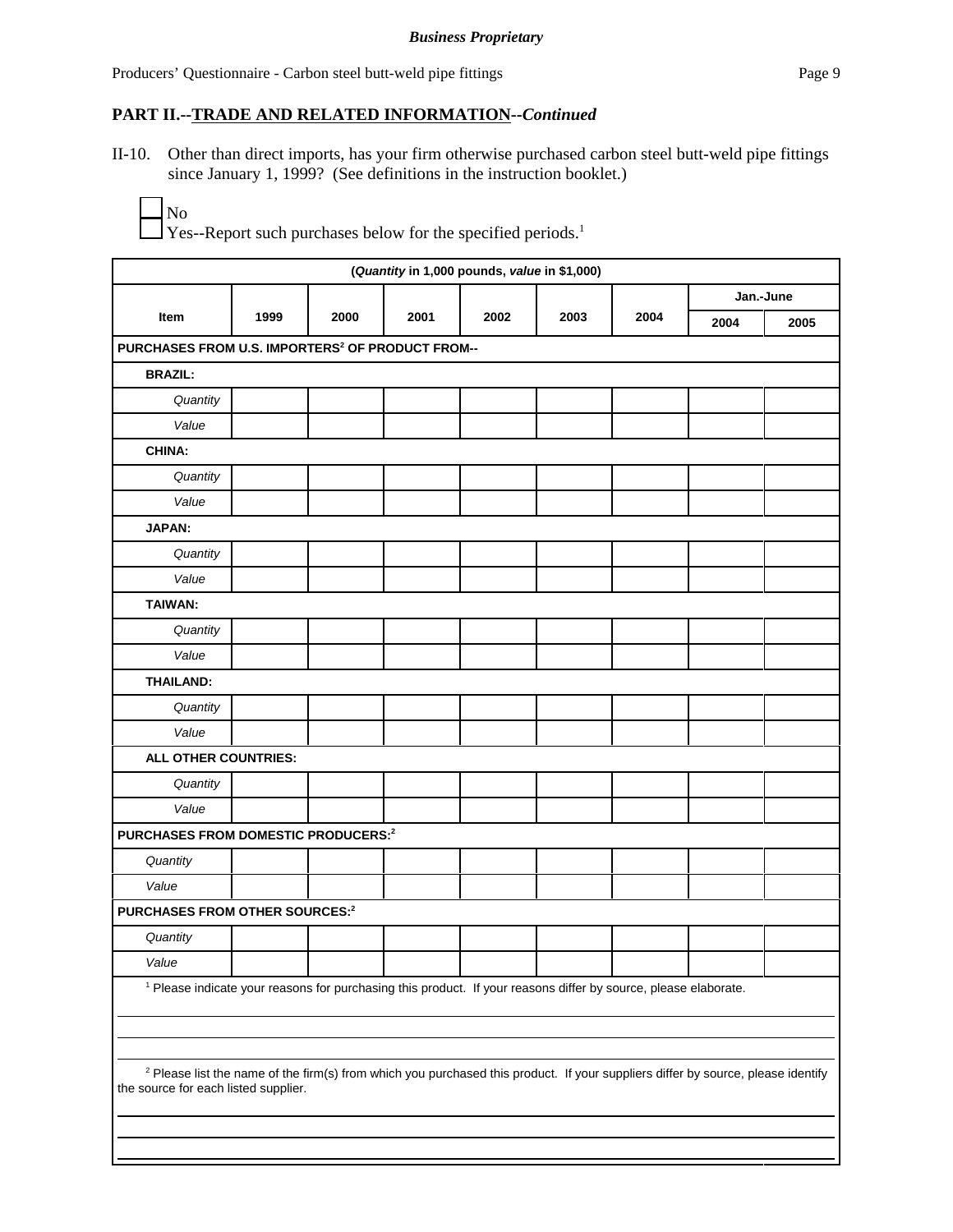II-10. Other than direct imports, has your firm otherwise purchased carbon steel butt-weld pipe fittings since January 1, 1999? (See definitions in the instruction booklet.)

 $\Box$  Yes--Report such purchases below for the specified periods.<sup>1</sup>

| (Quantity in 1,000 pounds, value in \$1,000)                                                                                                                                        |      |      |      |      |      |      |           |      |
|-------------------------------------------------------------------------------------------------------------------------------------------------------------------------------------|------|------|------|------|------|------|-----------|------|
|                                                                                                                                                                                     |      |      |      |      |      |      | Jan.-June |      |
| Item                                                                                                                                                                                | 1999 | 2000 | 2001 | 2002 | 2003 | 2004 | 2004      | 2005 |
| PURCHASES FROM U.S. IMPORTERS <sup>2</sup> OF PRODUCT FROM--                                                                                                                        |      |      |      |      |      |      |           |      |
| <b>BRAZIL:</b>                                                                                                                                                                      |      |      |      |      |      |      |           |      |
| Quantity                                                                                                                                                                            |      |      |      |      |      |      |           |      |
| Value                                                                                                                                                                               |      |      |      |      |      |      |           |      |
| <b>CHINA:</b>                                                                                                                                                                       |      |      |      |      |      |      |           |      |
| Quantity                                                                                                                                                                            |      |      |      |      |      |      |           |      |
| Value                                                                                                                                                                               |      |      |      |      |      |      |           |      |
| JAPAN:                                                                                                                                                                              |      |      |      |      |      |      |           |      |
| Quantity                                                                                                                                                                            |      |      |      |      |      |      |           |      |
| Value                                                                                                                                                                               |      |      |      |      |      |      |           |      |
| TAIWAN:                                                                                                                                                                             |      |      |      |      |      |      |           |      |
| Quantity                                                                                                                                                                            |      |      |      |      |      |      |           |      |
| Value                                                                                                                                                                               |      |      |      |      |      |      |           |      |
| <b>THAILAND:</b>                                                                                                                                                                    |      |      |      |      |      |      |           |      |
| Quantity                                                                                                                                                                            |      |      |      |      |      |      |           |      |
| Value                                                                                                                                                                               |      |      |      |      |      |      |           |      |
| ALL OTHER COUNTRIES:                                                                                                                                                                |      |      |      |      |      |      |           |      |
| Quantity                                                                                                                                                                            |      |      |      |      |      |      |           |      |
| Value                                                                                                                                                                               |      |      |      |      |      |      |           |      |
| PURCHASES FROM DOMESTIC PRODUCERS:2                                                                                                                                                 |      |      |      |      |      |      |           |      |
| Quantity                                                                                                                                                                            |      |      |      |      |      |      |           |      |
| Value                                                                                                                                                                               |      |      |      |      |      |      |           |      |
| PURCHASES FROM OTHER SOURCES:2                                                                                                                                                      |      |      |      |      |      |      |           |      |
| Quantity                                                                                                                                                                            |      |      |      |      |      |      |           |      |
| Value                                                                                                                                                                               |      |      |      |      |      |      |           |      |
| <sup>1</sup> Please indicate your reasons for purchasing this product. If your reasons differ by source, please elaborate.                                                          |      |      |      |      |      |      |           |      |
|                                                                                                                                                                                     |      |      |      |      |      |      |           |      |
| <sup>2</sup> Please list the name of the firm(s) from which you purchased this product. If your suppliers differ by source, please identify<br>the source for each listed supplier. |      |      |      |      |      |      |           |      |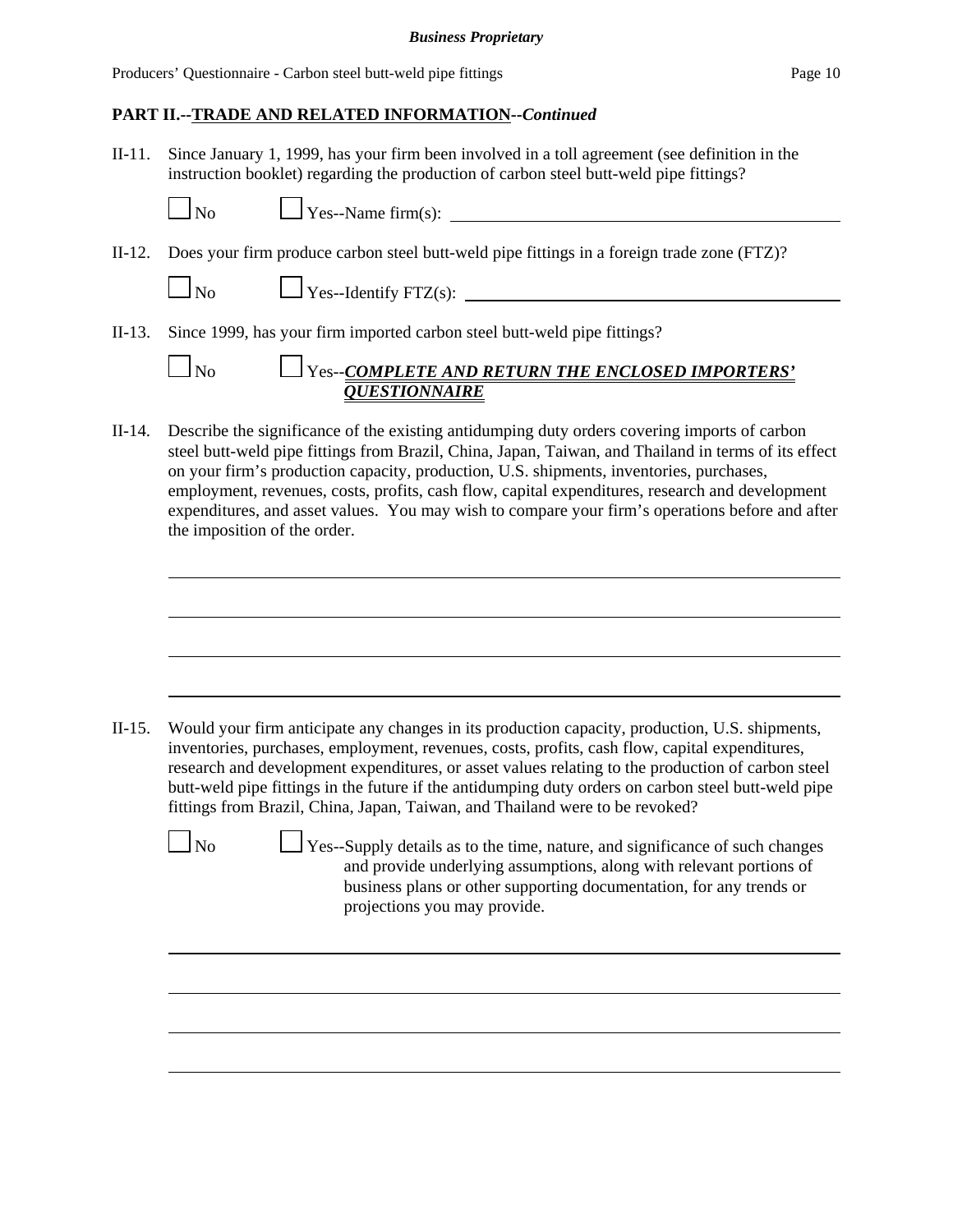Producers' Questionnaire - Carbon steel butt-weld pipe fittings Page 10

## **PART II.--TRADE AND RELATED INFORMATION--***Continued*

II-11. Since January 1, 1999, has your firm been involved in a toll agreement (see definition in the instruction booklet) regarding the production of carbon steel butt-weld pipe fittings?

|  | $\Box$ No $\Box$ Yes--Name firm(s):                                                               |
|--|---------------------------------------------------------------------------------------------------|
|  | II-12. Does your firm produce carbon steel butt-weld pipe fittings in a foreign trade zone (FTZ)? |
|  |                                                                                                   |
|  | II-13. Since 1999, has your firm imported carbon steel butt-weld pipe fittings?                   |
|  | $\Box_{\text{No}}$ $\Box_{\text{Yes-COMPLETE AND RETURN THE ENCLOSED IMPORTERS'}}$                |
|  | <b>QUESTIONNAIRE</b>                                                                              |

II-14. Describe the significance of the existing antidumping duty orders covering imports of carbon steel butt-weld pipe fittings from Brazil, China, Japan, Taiwan, and Thailand in terms of its effect on your firm's production capacity, production, U.S. shipments, inventories, purchases, employment, revenues, costs, profits, cash flow, capital expenditures, research and development expenditures, and asset values. You may wish to compare your firm's operations before and after the imposition of the order.

II-15. Would your firm anticipate any changes in its production capacity, production, U.S. shipments, inventories, purchases, employment, revenues, costs, profits, cash flow, capital expenditures, research and development expenditures, or asset values relating to the production of carbon steel butt-weld pipe fittings in the future if the antidumping duty orders on carbon steel butt-weld pipe fittings from Brazil, China, Japan, Taiwan, and Thailand were to be revoked?  $\Box$  No  $\Box$  Yes--Supply details as to the time, nature, and significance of such changes and provide underlying assumptions, along with relevant portions of business plans or other supporting documentation, for any trends or projections you may provide.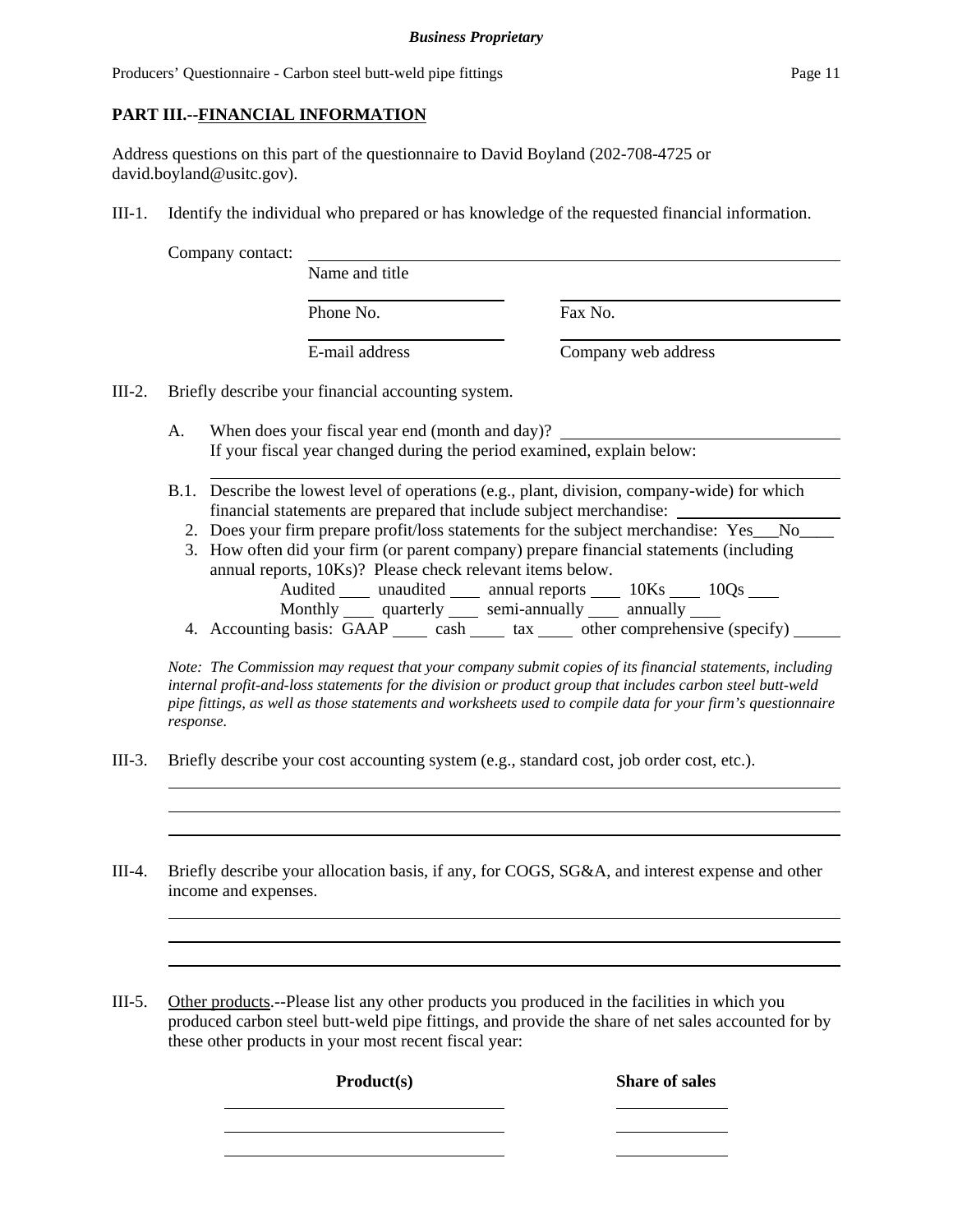## **PART III.--FINANCIAL INFORMATION**

Address questions on this part of the questionnaire to David Boyland (202-708-4725 or david.boyland@usitc.gov).

III-1. Identify the individual who prepared or has knowledge of the requested financial information.

|  | Company contact: |
|--|------------------|
|  |                  |

| naci. | Name and title |                     |
|-------|----------------|---------------------|
|       | Phone No.      | Fax No.             |
|       | E-mail address | Company web address |

III-2. Briefly describe your financial accounting system.

- A. When does your fiscal year end (month and day)? If your fiscal year changed during the period examined, explain below:
- B.1. Describe the lowest level of operations (e.g., plant, division, company-wide) for which financial statements are prepared that include subject merchandise:
	- 2. Does your firm prepare profit/loss statements for the subject merchandise: Yes\_\_\_No\_\_\_\_
	- 3. How often did your firm (or parent company) prepare financial statements (including annual reports, 10Ks)? Please check relevant items below. Audited \_\_\_\_\_ unaudited \_\_\_\_\_ annual reports \_\_\_\_\_ 10Ks \_\_\_\_\_ 10Qs \_\_\_\_ Monthly quarterly semi-annually annually
	- 4. Accounting basis: GAAP cash tax other comprehensive (specify)

*Note: The Commission may request that your company submit copies of its financial statements, including internal profit-and-loss statements for the division or product group that includes carbon steel butt-weld pipe fittings, as well as those statements and worksheets used to compile data for your firm's questionnaire response.*

- III-3. Briefly describe your cost accounting system (e.g., standard cost, job order cost, etc.).
- III-4. Briefly describe your allocation basis, if any, for COGS, SG&A, and interest expense and other income and expenses.
- III-5. Other products.--Please list any other products you produced in the facilities in which you produced carbon steel butt-weld pipe fittings, and provide the share of net sales accounted for by these other products in your most recent fiscal year:

**Product(s)** Share of sales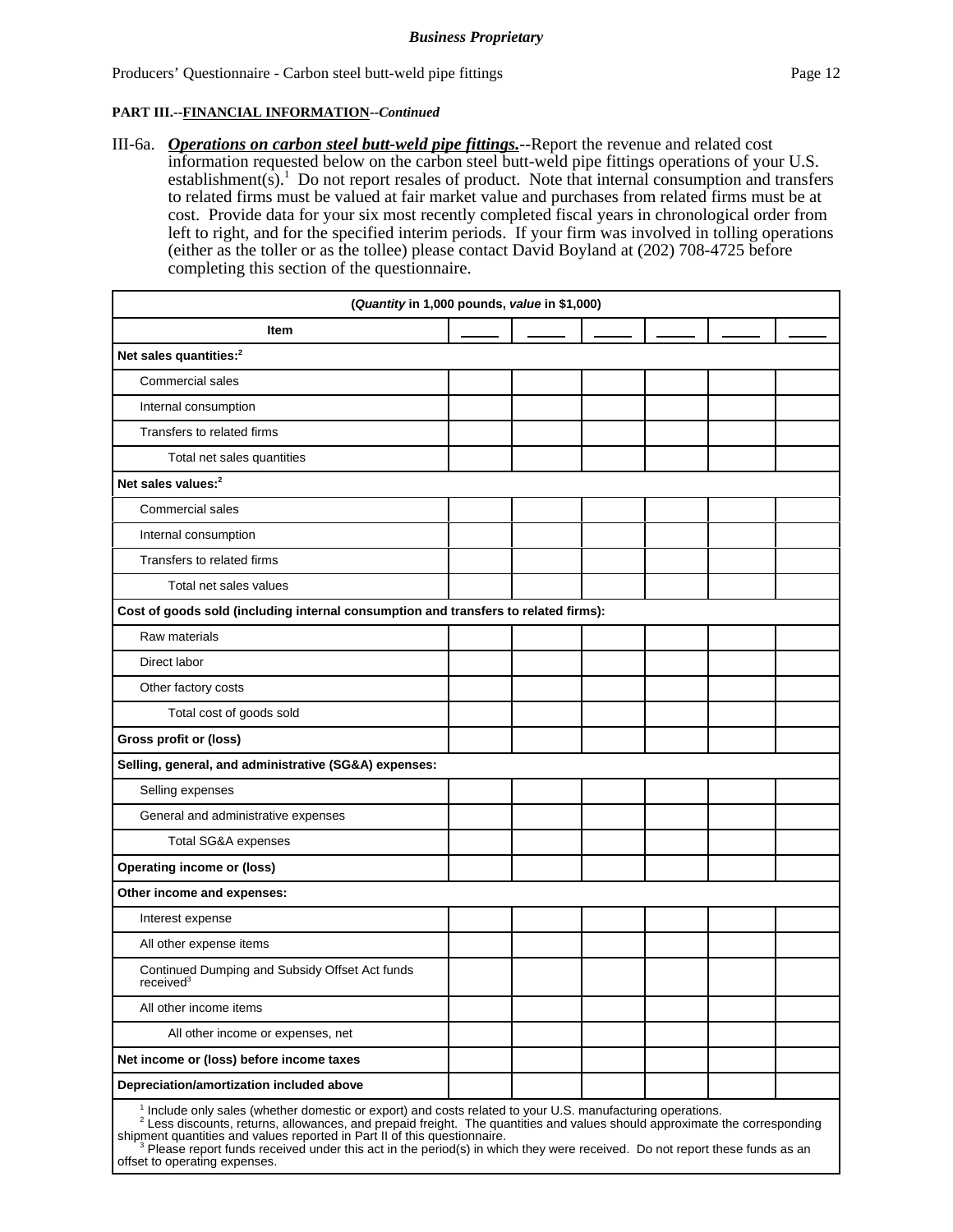III-6a. *Operations on carbon steel butt-weld pipe fittings.*--Report the revenue and related cost information requested below on the carbon steel butt-weld pipe fittings operations of your U.S. establishment(s).<sup>1</sup> Do not report resales of product. Note that internal consumption and transfers to related firms must be valued at fair market value and purchases from related firms must be at cost. Provide data for your six most recently completed fiscal years in chronological order from left to right, and for the specified interim periods. If your firm was involved in tolling operations (either as the toller or as the tollee) please contact David Boyland at (202) 708-4725 before completing this section of the questionnaire.

| (Quantity in 1,000 pounds, value in \$1,000)                                                                                                                                                                                                                                                                                                                                                                                                                               |  |  |  |
|----------------------------------------------------------------------------------------------------------------------------------------------------------------------------------------------------------------------------------------------------------------------------------------------------------------------------------------------------------------------------------------------------------------------------------------------------------------------------|--|--|--|
| ltem                                                                                                                                                                                                                                                                                                                                                                                                                                                                       |  |  |  |
| Net sales quantities: <sup>2</sup>                                                                                                                                                                                                                                                                                                                                                                                                                                         |  |  |  |
| Commercial sales                                                                                                                                                                                                                                                                                                                                                                                                                                                           |  |  |  |
| Internal consumption                                                                                                                                                                                                                                                                                                                                                                                                                                                       |  |  |  |
| Transfers to related firms                                                                                                                                                                                                                                                                                                                                                                                                                                                 |  |  |  |
| Total net sales quantities                                                                                                                                                                                                                                                                                                                                                                                                                                                 |  |  |  |
| Net sales values: <sup>2</sup>                                                                                                                                                                                                                                                                                                                                                                                                                                             |  |  |  |
| Commercial sales                                                                                                                                                                                                                                                                                                                                                                                                                                                           |  |  |  |
| Internal consumption                                                                                                                                                                                                                                                                                                                                                                                                                                                       |  |  |  |
| Transfers to related firms                                                                                                                                                                                                                                                                                                                                                                                                                                                 |  |  |  |
| Total net sales values                                                                                                                                                                                                                                                                                                                                                                                                                                                     |  |  |  |
| Cost of goods sold (including internal consumption and transfers to related firms):                                                                                                                                                                                                                                                                                                                                                                                        |  |  |  |
| Raw materials                                                                                                                                                                                                                                                                                                                                                                                                                                                              |  |  |  |
| Direct labor                                                                                                                                                                                                                                                                                                                                                                                                                                                               |  |  |  |
| Other factory costs                                                                                                                                                                                                                                                                                                                                                                                                                                                        |  |  |  |
| Total cost of goods sold                                                                                                                                                                                                                                                                                                                                                                                                                                                   |  |  |  |
| Gross profit or (loss)                                                                                                                                                                                                                                                                                                                                                                                                                                                     |  |  |  |
| Selling, general, and administrative (SG&A) expenses:                                                                                                                                                                                                                                                                                                                                                                                                                      |  |  |  |
| Selling expenses                                                                                                                                                                                                                                                                                                                                                                                                                                                           |  |  |  |
| General and administrative expenses                                                                                                                                                                                                                                                                                                                                                                                                                                        |  |  |  |
| Total SG&A expenses                                                                                                                                                                                                                                                                                                                                                                                                                                                        |  |  |  |
| <b>Operating income or (loss)</b>                                                                                                                                                                                                                                                                                                                                                                                                                                          |  |  |  |
| Other income and expenses:                                                                                                                                                                                                                                                                                                                                                                                                                                                 |  |  |  |
| Interest expense                                                                                                                                                                                                                                                                                                                                                                                                                                                           |  |  |  |
| All other expense items                                                                                                                                                                                                                                                                                                                                                                                                                                                    |  |  |  |
| Continued Dumping and Subsidy Offset Act funds<br>received <sup>3</sup>                                                                                                                                                                                                                                                                                                                                                                                                    |  |  |  |
| All other income items                                                                                                                                                                                                                                                                                                                                                                                                                                                     |  |  |  |
| All other income or expenses, net                                                                                                                                                                                                                                                                                                                                                                                                                                          |  |  |  |
| Net income or (loss) before income taxes                                                                                                                                                                                                                                                                                                                                                                                                                                   |  |  |  |
| Depreciation/amortization included above                                                                                                                                                                                                                                                                                                                                                                                                                                   |  |  |  |
| <sup>1</sup> Include only sales (whether domestic or export) and costs related to your U.S. manufacturing operations.<br><sup>2</sup> Less discounts, returns, allowances, and prepaid freight. The quantities and values should approximate the co<br>shipment quantities and values reported in Part II of this questionnaire.<br><sup>3</sup> Please report funds received under this act in the period(s) in which they were received. Do not report these funds as an |  |  |  |

offset to operating expenses.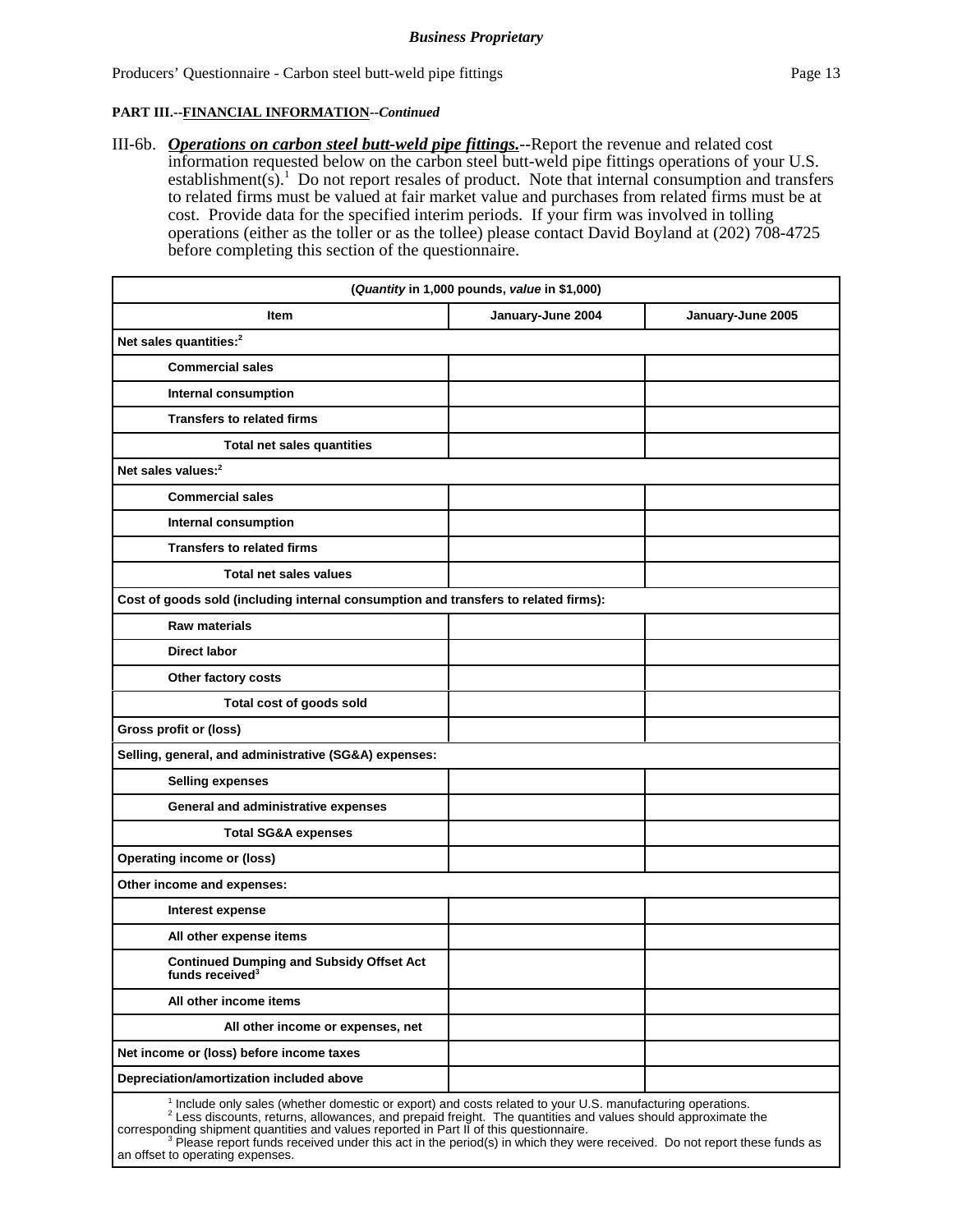III-6b. *Operations on carbon steel butt-weld pipe fittings.*--Report the revenue and related cost information requested below on the carbon steel butt-weld pipe fittings operations of your U.S. establishment(s).<sup>1</sup> Do not report resales of product. Note that internal consumption and transfers to related firms must be valued at fair market value and purchases from related firms must be at cost. Provide data for the specified interim periods. If your firm was involved in tolling operations (either as the toller or as the tollee) please contact David Boyland at (202) 708-4725 before completing this section of the questionnaire.

| (Quantity in 1,000 pounds, value in \$1,000)                                                                                                                                                                                                                                                                                       |                   |                   |  |  |
|------------------------------------------------------------------------------------------------------------------------------------------------------------------------------------------------------------------------------------------------------------------------------------------------------------------------------------|-------------------|-------------------|--|--|
| <b>Item</b>                                                                                                                                                                                                                                                                                                                        | January-June 2004 | January-June 2005 |  |  |
| Net sales quantities: <sup>2</sup>                                                                                                                                                                                                                                                                                                 |                   |                   |  |  |
| <b>Commercial sales</b>                                                                                                                                                                                                                                                                                                            |                   |                   |  |  |
| Internal consumption                                                                                                                                                                                                                                                                                                               |                   |                   |  |  |
| <b>Transfers to related firms</b>                                                                                                                                                                                                                                                                                                  |                   |                   |  |  |
| Total net sales quantities                                                                                                                                                                                                                                                                                                         |                   |                   |  |  |
| Net sales values: <sup>2</sup>                                                                                                                                                                                                                                                                                                     |                   |                   |  |  |
| <b>Commercial sales</b>                                                                                                                                                                                                                                                                                                            |                   |                   |  |  |
| Internal consumption                                                                                                                                                                                                                                                                                                               |                   |                   |  |  |
| <b>Transfers to related firms</b>                                                                                                                                                                                                                                                                                                  |                   |                   |  |  |
| Total net sales values                                                                                                                                                                                                                                                                                                             |                   |                   |  |  |
| Cost of goods sold (including internal consumption and transfers to related firms):                                                                                                                                                                                                                                                |                   |                   |  |  |
| <b>Raw materials</b>                                                                                                                                                                                                                                                                                                               |                   |                   |  |  |
| <b>Direct labor</b>                                                                                                                                                                                                                                                                                                                |                   |                   |  |  |
| Other factory costs                                                                                                                                                                                                                                                                                                                |                   |                   |  |  |
| Total cost of goods sold                                                                                                                                                                                                                                                                                                           |                   |                   |  |  |
| Gross profit or (loss)                                                                                                                                                                                                                                                                                                             |                   |                   |  |  |
| Selling, general, and administrative (SG&A) expenses:                                                                                                                                                                                                                                                                              |                   |                   |  |  |
| <b>Selling expenses</b>                                                                                                                                                                                                                                                                                                            |                   |                   |  |  |
| General and administrative expenses                                                                                                                                                                                                                                                                                                |                   |                   |  |  |
| <b>Total SG&amp;A expenses</b>                                                                                                                                                                                                                                                                                                     |                   |                   |  |  |
| <b>Operating income or (loss)</b>                                                                                                                                                                                                                                                                                                  |                   |                   |  |  |
| Other income and expenses:                                                                                                                                                                                                                                                                                                         |                   |                   |  |  |
| Interest expense                                                                                                                                                                                                                                                                                                                   |                   |                   |  |  |
| All other expense items                                                                                                                                                                                                                                                                                                            |                   |                   |  |  |
| <b>Continued Dumping and Subsidy Offset Act</b><br>funds received <sup>3</sup>                                                                                                                                                                                                                                                     |                   |                   |  |  |
| All other income items                                                                                                                                                                                                                                                                                                             |                   |                   |  |  |
| All other income or expenses, net                                                                                                                                                                                                                                                                                                  |                   |                   |  |  |
| Net income or (loss) before income taxes                                                                                                                                                                                                                                                                                           |                   |                   |  |  |
| Depreciation/amortization included above                                                                                                                                                                                                                                                                                           |                   |                   |  |  |
| <sup>1</sup> Include only sales (whether domestic or export) and costs related to your U.S. manufacturing operations.<br>$2$ Less discounts, returns, allowances, and prepaid freight. The quantities and values should approximate the<br>corresponding shipment quantities and values reported in Part II of this questionnaire. |                   |                   |  |  |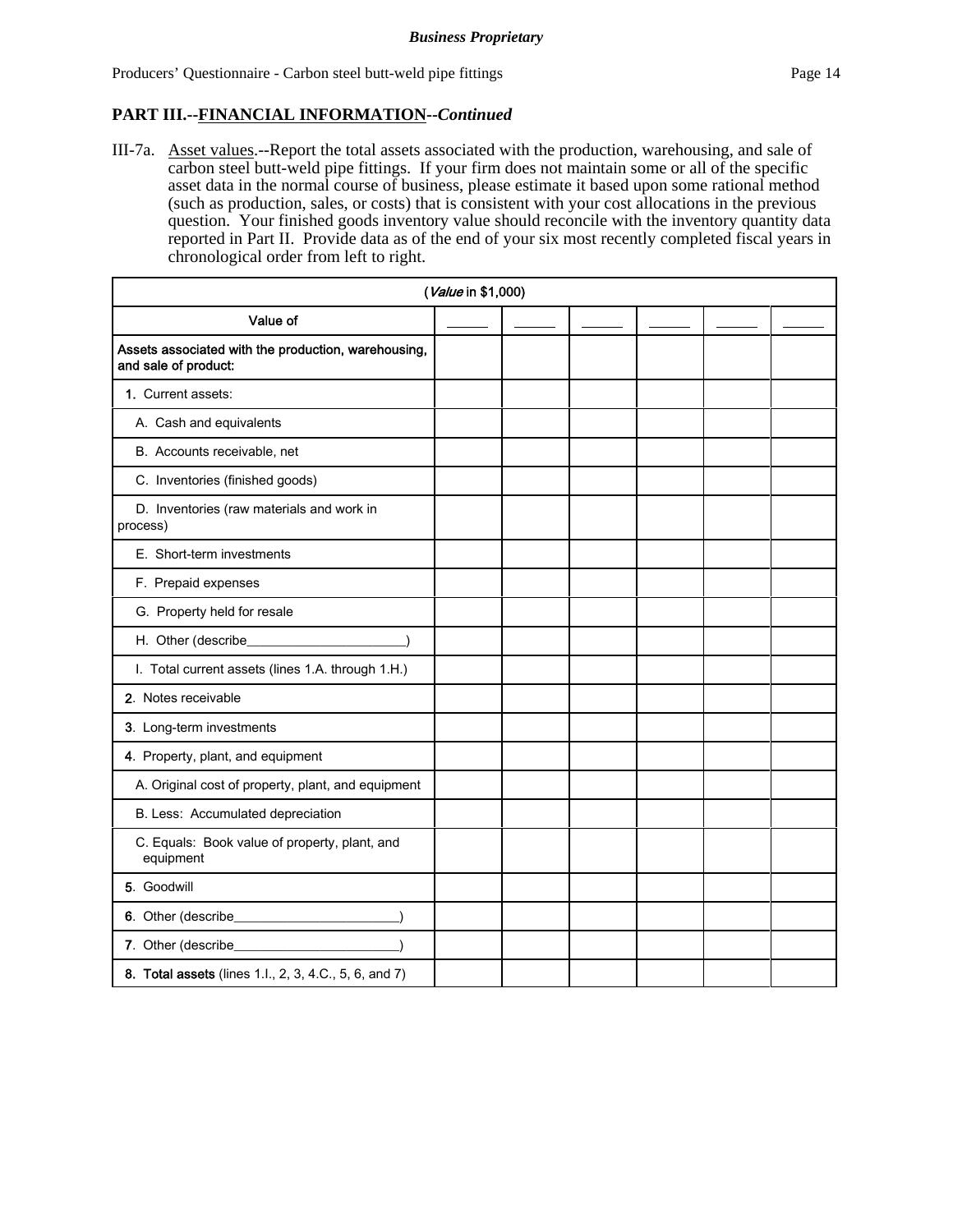III-7a. Asset values.--Report the total assets associated with the production, warehousing, and sale of carbon steel butt-weld pipe fittings. If your firm does not maintain some or all of the specific asset data in the normal course of business, please estimate it based upon some rational method (such as production, sales, or costs) that is consistent with your cost allocations in the previous question. Your finished goods inventory value should reconcile with the inventory quantity data reported in Part II. Provide data as of the end of your six most recently completed fiscal years in chronological order from left to right.

|                                                                             | (Value in \$1,000) |  |  |  |
|-----------------------------------------------------------------------------|--------------------|--|--|--|
| Value of                                                                    |                    |  |  |  |
| Assets associated with the production, warehousing,<br>and sale of product: |                    |  |  |  |
| 1. Current assets:                                                          |                    |  |  |  |
| A. Cash and equivalents                                                     |                    |  |  |  |
| B. Accounts receivable, net                                                 |                    |  |  |  |
| C. Inventories (finished goods)                                             |                    |  |  |  |
| D. Inventories (raw materials and work in<br>process)                       |                    |  |  |  |
| E. Short-term investments                                                   |                    |  |  |  |
| F. Prepaid expenses                                                         |                    |  |  |  |
| G. Property held for resale                                                 |                    |  |  |  |
|                                                                             |                    |  |  |  |
| I. Total current assets (lines 1.A. through 1.H.)                           |                    |  |  |  |
| 2. Notes receivable                                                         |                    |  |  |  |
| 3. Long-term investments                                                    |                    |  |  |  |
| 4. Property, plant, and equipment                                           |                    |  |  |  |
| A. Original cost of property, plant, and equipment                          |                    |  |  |  |
| B. Less: Accumulated depreciation                                           |                    |  |  |  |
| C. Equals: Book value of property, plant, and<br>equipment                  |                    |  |  |  |
| 5. Goodwill                                                                 |                    |  |  |  |
|                                                                             |                    |  |  |  |
| 7. Other (describe_                                                         |                    |  |  |  |
| 8. Total assets (lines 1.l., 2, 3, 4.C., 5, 6, and 7)                       |                    |  |  |  |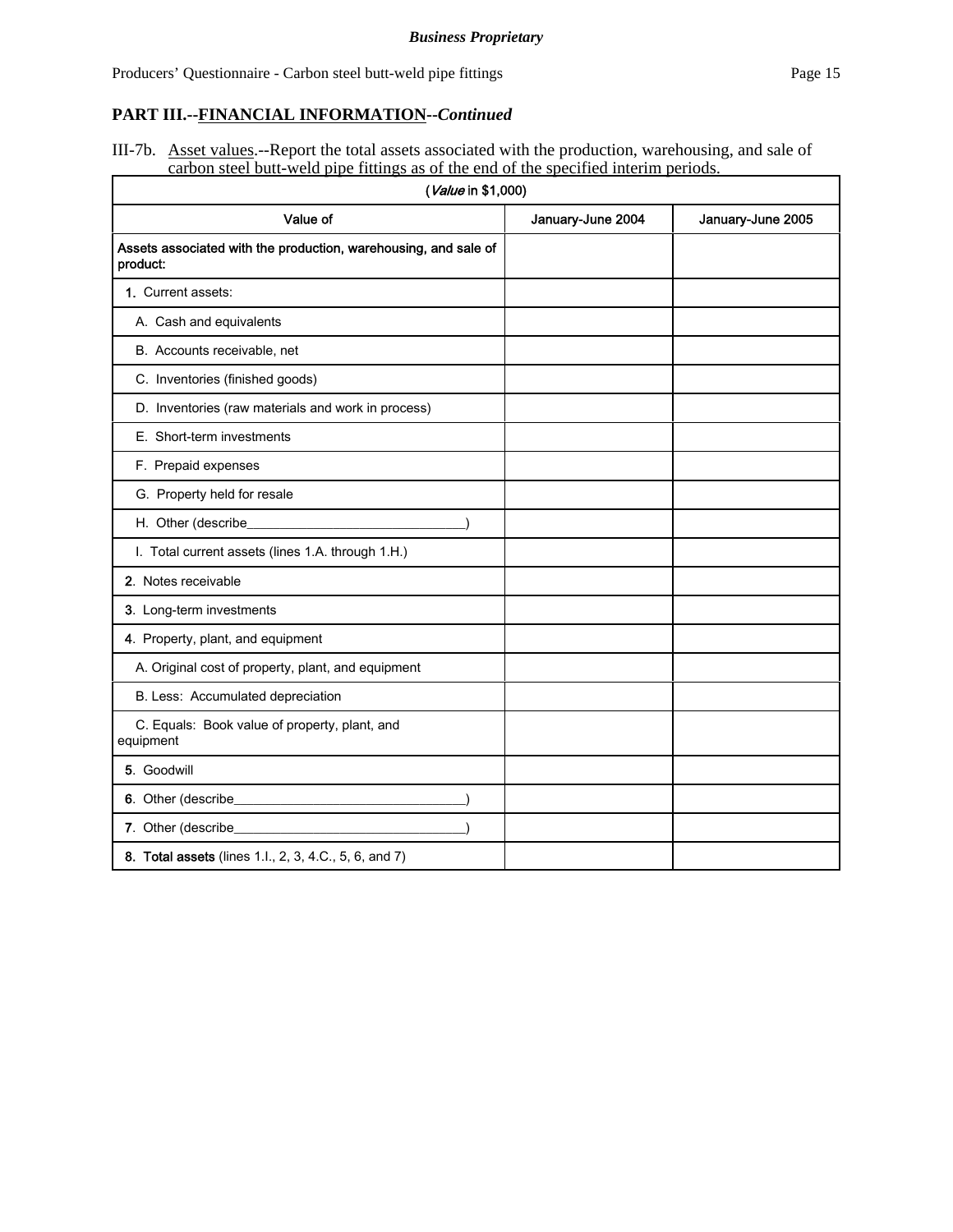III-7b. Asset values.--Report the total assets associated with the production, warehousing, and sale of carbon steel butt-weld pipe fittings as of the end of the specified interim periods.

| (Value in \$1,000)                                                                                                                           |                   |                   |  |  |  |
|----------------------------------------------------------------------------------------------------------------------------------------------|-------------------|-------------------|--|--|--|
| Value of                                                                                                                                     | January-June 2004 | January-June 2005 |  |  |  |
| Assets associated with the production, warehousing, and sale of<br>product:                                                                  |                   |                   |  |  |  |
| 1. Current assets:                                                                                                                           |                   |                   |  |  |  |
| A. Cash and equivalents                                                                                                                      |                   |                   |  |  |  |
| B. Accounts receivable, net                                                                                                                  |                   |                   |  |  |  |
| C. Inventories (finished goods)                                                                                                              |                   |                   |  |  |  |
| D. Inventories (raw materials and work in process)                                                                                           |                   |                   |  |  |  |
| E. Short-term investments                                                                                                                    |                   |                   |  |  |  |
| F. Prepaid expenses                                                                                                                          |                   |                   |  |  |  |
| G. Property held for resale                                                                                                                  |                   |                   |  |  |  |
| H. Other (describe_                                                                                                                          |                   |                   |  |  |  |
| I. Total current assets (lines 1.A. through 1.H.)                                                                                            |                   |                   |  |  |  |
| 2. Notes receivable                                                                                                                          |                   |                   |  |  |  |
| 3. Long-term investments                                                                                                                     |                   |                   |  |  |  |
| 4. Property, plant, and equipment                                                                                                            |                   |                   |  |  |  |
| A. Original cost of property, plant, and equipment                                                                                           |                   |                   |  |  |  |
| B. Less: Accumulated depreciation                                                                                                            |                   |                   |  |  |  |
| C. Equals: Book value of property, plant, and<br>equipment                                                                                   |                   |                   |  |  |  |
| 5. Goodwill                                                                                                                                  |                   |                   |  |  |  |
|                                                                                                                                              |                   |                   |  |  |  |
| 7. Other (describe_<br><u> 1989 - Johann Stein, mars et al. 1989 - Johann Stein, mars et al. 1989 - Johann Stein, mars et al. 1989 - Joh</u> |                   |                   |  |  |  |
| 8. Total assets (lines 1.l., 2, 3, 4.C., 5, 6, and 7)                                                                                        |                   |                   |  |  |  |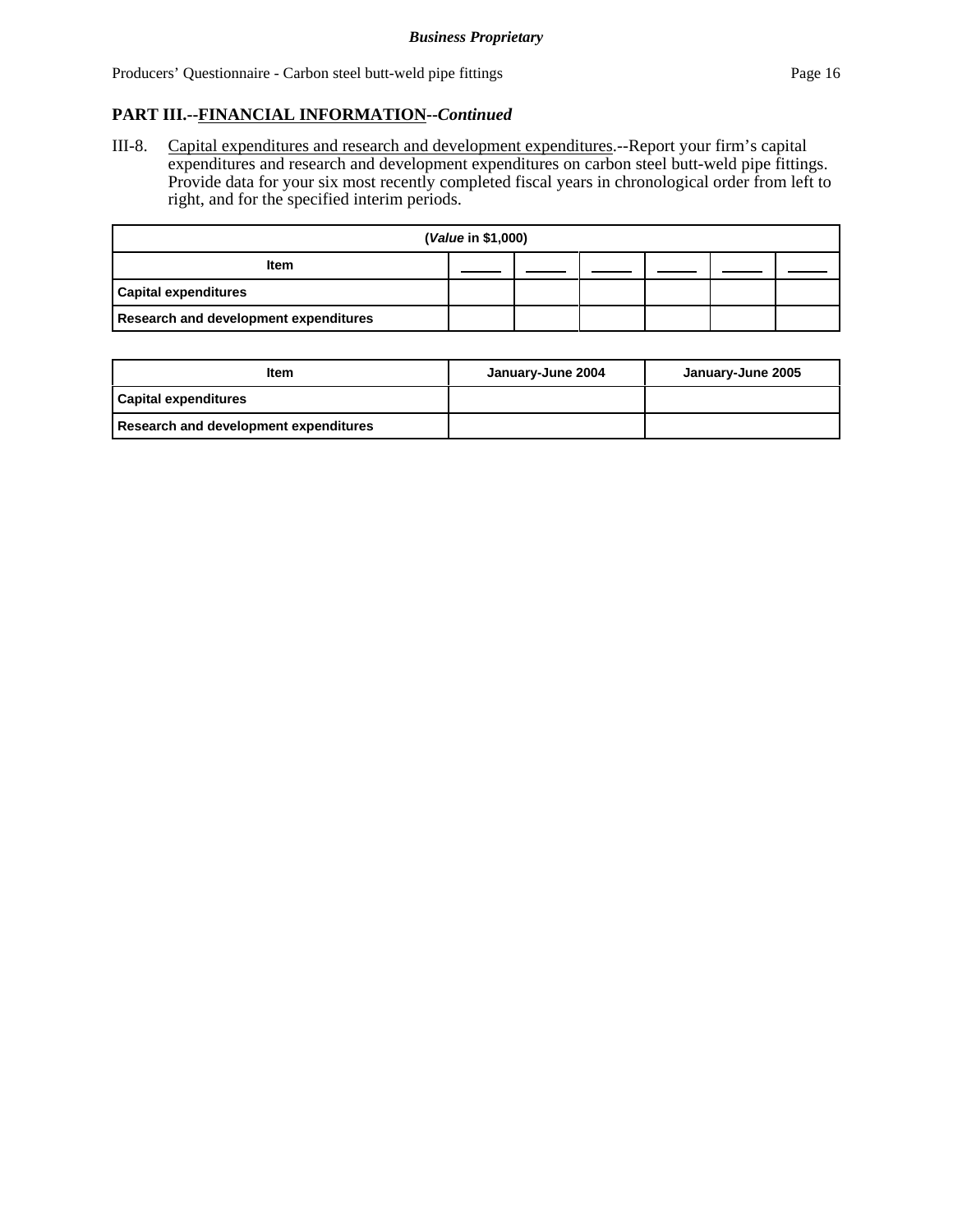III-8. Capital expenditures and research and development expenditures.--Report your firm's capital expenditures and research and development expenditures on carbon steel butt-weld pipe fittings. Provide data for your six most recently completed fiscal years in chronological order from left to right, and for the specified interim periods.

| (Value in \$1,000)                    |  |  |  |  |  |
|---------------------------------------|--|--|--|--|--|
| <b>Item</b>                           |  |  |  |  |  |
| <b>Capital expenditures</b>           |  |  |  |  |  |
| Research and development expenditures |  |  |  |  |  |

| Item                                  | January-June 2004 | January-June 2005 |
|---------------------------------------|-------------------|-------------------|
| Capital expenditures                  |                   |                   |
| Research and development expenditures |                   |                   |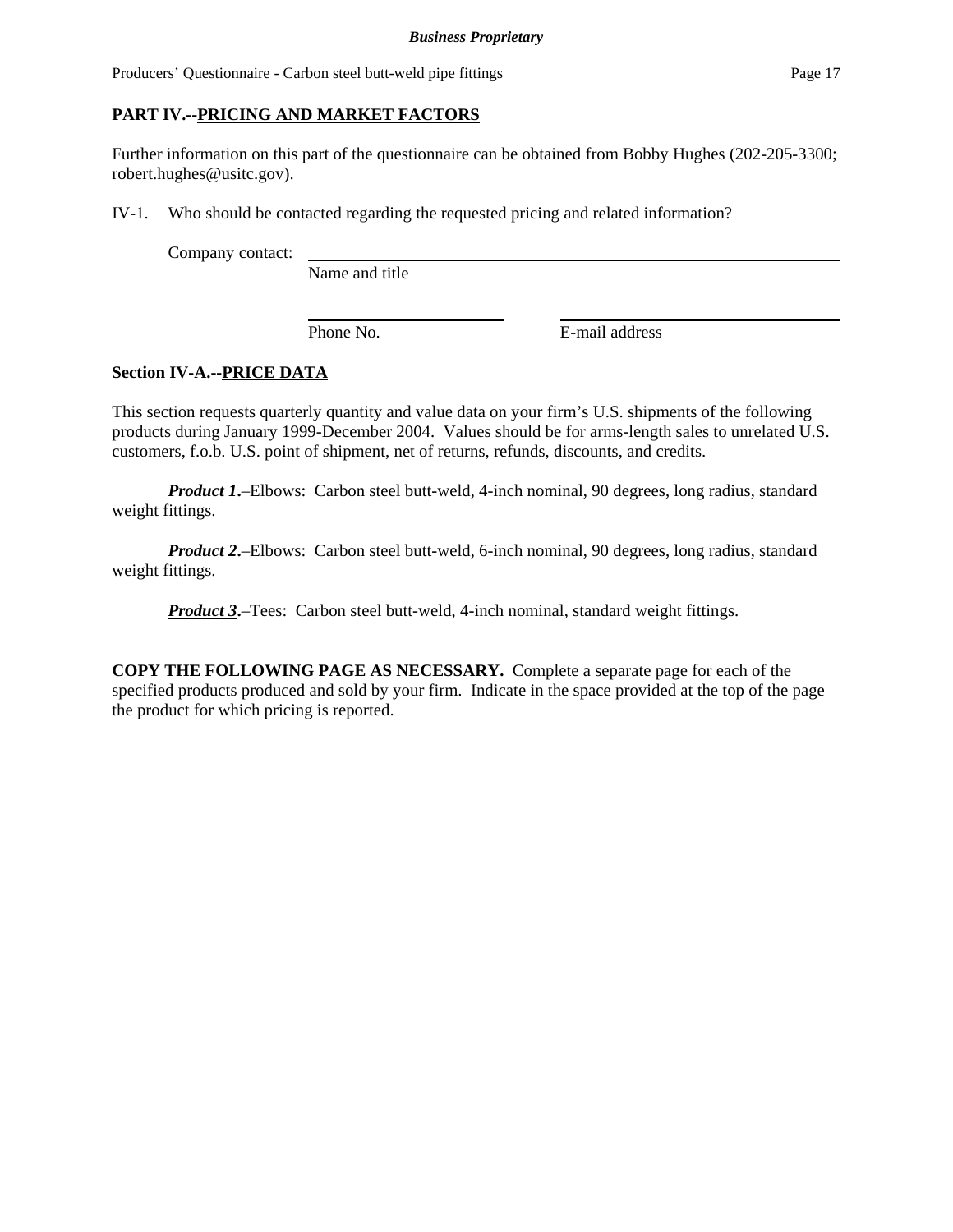Producers' Questionnaire - Carbon steel butt-weld pipe fittings Page 17

## **PART IV.--PRICING AND MARKET FACTORS**

Further information on this part of the questionnaire can be obtained from Bobby Hughes (202-205-3300; robert.hughes@usitc.gov).

IV-1. Who should be contacted regarding the requested pricing and related information?

Company contact:

Name and title

Phone No. **E-mail address** 

# **Section IV-A.--PRICE DATA**

This section requests quarterly quantity and value data on your firm's U.S. shipments of the following products during January 1999-December 2004. Values should be for arms-length sales to unrelated U.S. customers, f.o.b. U.S. point of shipment, net of returns, refunds, discounts, and credits.

*Product 1*.–Elbows: Carbon steel butt-weld, 4-inch nominal, 90 degrees, long radius, standard weight fittings.

*Product 2*—Elbows: Carbon steel butt-weld, 6-inch nominal, 90 degrees, long radius, standard weight fittings.

*Product 3***.**–Tees: Carbon steel butt-weld, 4-inch nominal, standard weight fittings.

**COPY THE FOLLOWING PAGE AS NECESSARY.** Complete a separate page for each of the specified products produced and sold by your firm. Indicate in the space provided at the top of the page the product for which pricing is reported.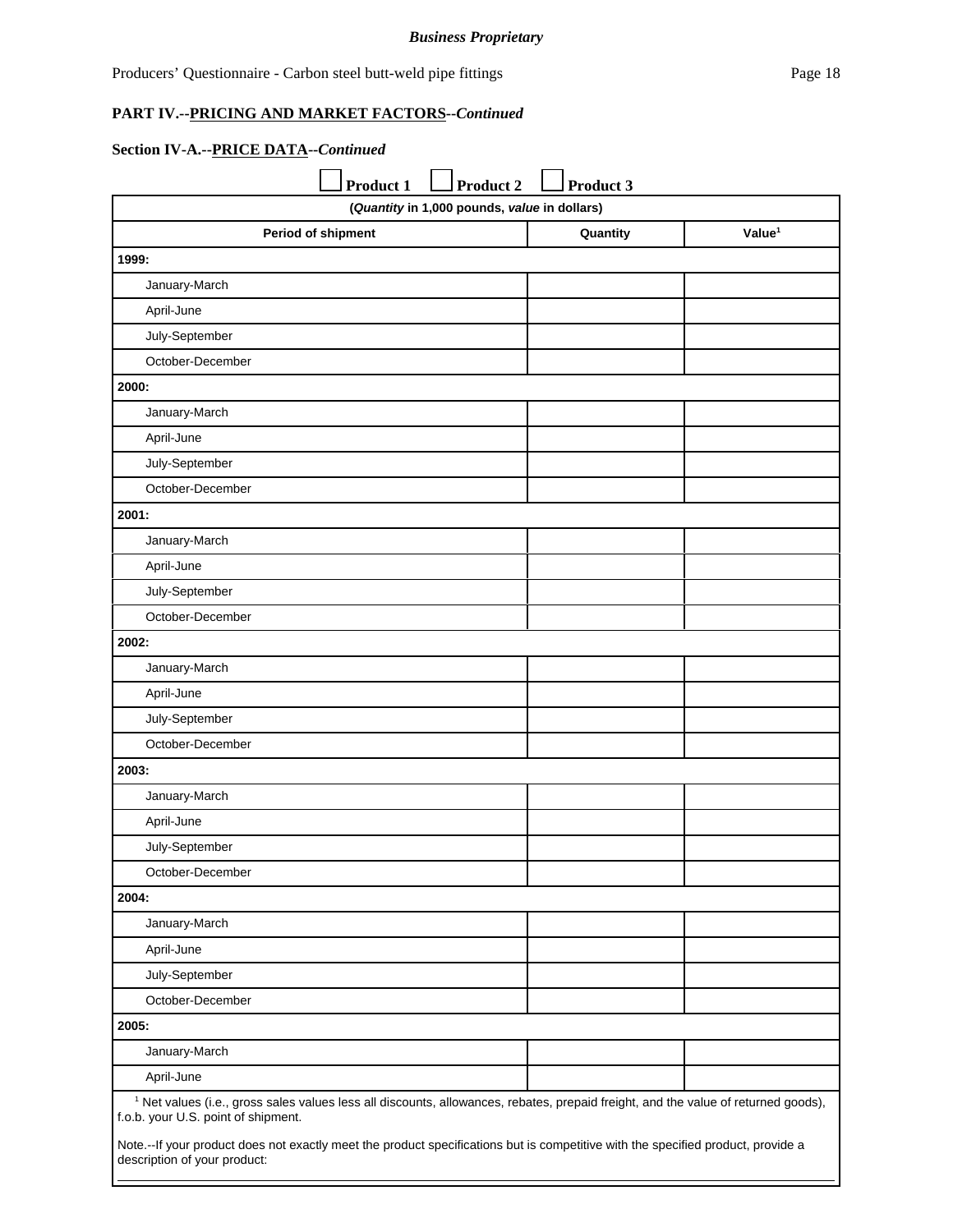#### **Section IV-A.--PRICE DATA--***Continued*

|                                                                                                                                                                                      | <b>Product 1</b> | Product 2                                    | Product 3 |                    |
|--------------------------------------------------------------------------------------------------------------------------------------------------------------------------------------|------------------|----------------------------------------------|-----------|--------------------|
|                                                                                                                                                                                      |                  | (Quantity in 1,000 pounds, value in dollars) |           |                    |
| Period of shipment                                                                                                                                                                   |                  |                                              | Quantity  | Value <sup>1</sup> |
| 1999:                                                                                                                                                                                |                  |                                              |           |                    |
| January-March                                                                                                                                                                        |                  |                                              |           |                    |
| April-June                                                                                                                                                                           |                  |                                              |           |                    |
| July-September                                                                                                                                                                       |                  |                                              |           |                    |
| October-December                                                                                                                                                                     |                  |                                              |           |                    |
| 2000:                                                                                                                                                                                |                  |                                              |           |                    |
| January-March                                                                                                                                                                        |                  |                                              |           |                    |
| April-June                                                                                                                                                                           |                  |                                              |           |                    |
| July-September                                                                                                                                                                       |                  |                                              |           |                    |
| October-December                                                                                                                                                                     |                  |                                              |           |                    |
| 2001:                                                                                                                                                                                |                  |                                              |           |                    |
| January-March                                                                                                                                                                        |                  |                                              |           |                    |
| April-June                                                                                                                                                                           |                  |                                              |           |                    |
| July-September                                                                                                                                                                       |                  |                                              |           |                    |
| October-December                                                                                                                                                                     |                  |                                              |           |                    |
| 2002:                                                                                                                                                                                |                  |                                              |           |                    |
| January-March                                                                                                                                                                        |                  |                                              |           |                    |
| April-June                                                                                                                                                                           |                  |                                              |           |                    |
| July-September                                                                                                                                                                       |                  |                                              |           |                    |
| October-December                                                                                                                                                                     |                  |                                              |           |                    |
| 2003:                                                                                                                                                                                |                  |                                              |           |                    |
| January-March                                                                                                                                                                        |                  |                                              |           |                    |
| April-June                                                                                                                                                                           |                  |                                              |           |                    |
| July-September                                                                                                                                                                       |                  |                                              |           |                    |
| October-December                                                                                                                                                                     |                  |                                              |           |                    |
| 2004:                                                                                                                                                                                |                  |                                              |           |                    |
| January-March                                                                                                                                                                        |                  |                                              |           |                    |
| April-June                                                                                                                                                                           |                  |                                              |           |                    |
| July-September                                                                                                                                                                       |                  |                                              |           |                    |
| October-December                                                                                                                                                                     |                  |                                              |           |                    |
| 2005:                                                                                                                                                                                |                  |                                              |           |                    |
| January-March                                                                                                                                                                        |                  |                                              |           |                    |
| April-June                                                                                                                                                                           |                  |                                              |           |                    |
| <sup>1</sup> Net values (i.e., gross sales values less all discounts, allowances, rebates, prepaid freight, and the value of returned goods),<br>f.o.b. your U.S. point of shipment. |                  |                                              |           |                    |

Note.--If your product does not exactly meet the product specifications but is competitive with the specified product, provide a description of your product: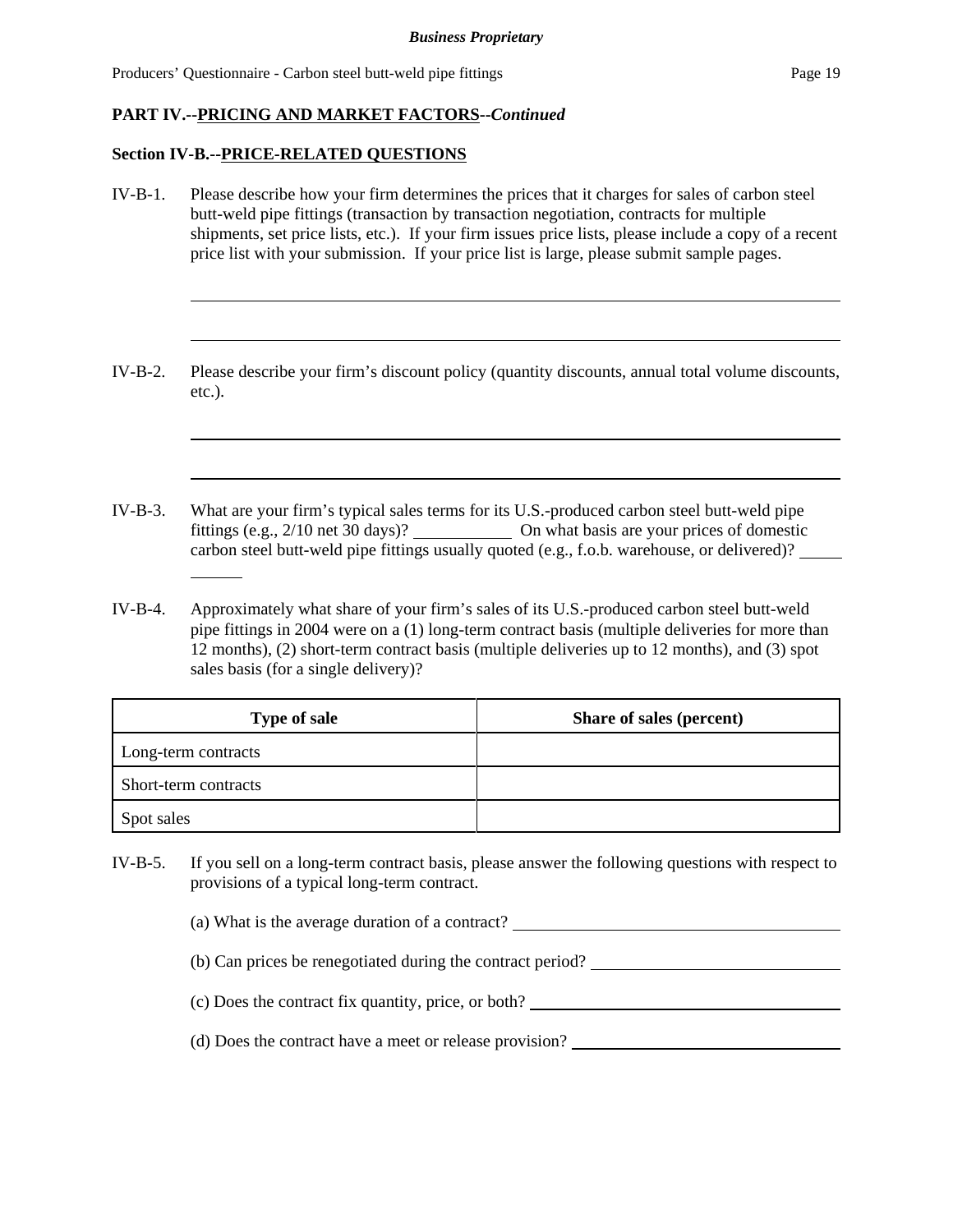#### **Section IV-B.--PRICE-RELATED QUESTIONS**

l

- IV-B-1. Please describe how your firm determines the prices that it charges for sales of carbon steel butt-weld pipe fittings (transaction by transaction negotiation, contracts for multiple shipments, set price lists, etc.). If your firm issues price lists, please include a copy of a recent price list with your submission. If your price list is large, please submit sample pages.
- IV-B-2. Please describe your firm's discount policy (quantity discounts, annual total volume discounts, etc.).
- IV-B-3. What are your firm's typical sales terms for its U.S.-produced carbon steel butt-weld pipe fittings (e.g., 2/10 net 30 days)? On what basis are your prices of domestic carbon steel butt-weld pipe fittings usually quoted (e.g., f.o.b. warehouse, or delivered)?
- IV-B-4. Approximately what share of your firm's sales of its U.S.-produced carbon steel butt-weld pipe fittings in 2004 were on a (1) long-term contract basis (multiple deliveries for more than 12 months), (2) short-term contract basis (multiple deliveries up to 12 months), and (3) spot sales basis (for a single delivery)?

| <b>Type of sale</b>  | Share of sales (percent) |
|----------------------|--------------------------|
| Long-term contracts  |                          |
| Short-term contracts |                          |
| Spot sales           |                          |

IV-B-5. If you sell on a long-term contract basis, please answer the following questions with respect to provisions of a typical long-term contract.

(a) What is the average duration of a contract?

- (b) Can prices be renegotiated during the contract period?
- (c) Does the contract fix quantity, price, or both?
- (d) Does the contract have a meet or release provision?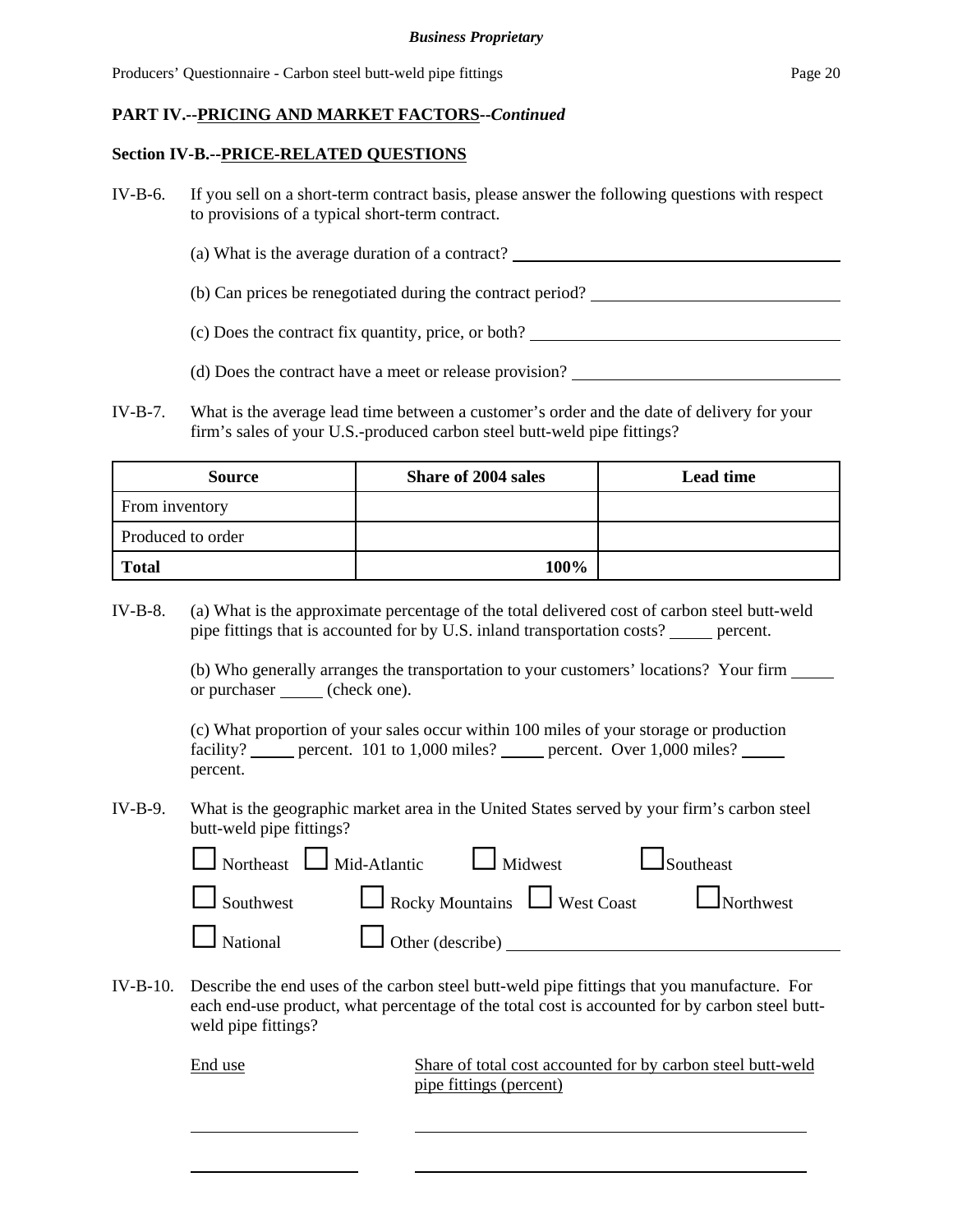#### **Section IV-B.--PRICE-RELATED QUESTIONS**

- IV-B-6. If you sell on a short-term contract basis, please answer the following questions with respect to provisions of a typical short-term contract.
	- (a) What is the average duration of a contract?
	- (b) Can prices be renegotiated during the contract period?
	- (c) Does the contract fix quantity, price, or both?
	- (d) Does the contract have a meet or release provision?
- IV-B-7. What is the average lead time between a customer's order and the date of delivery for your firm's sales of your U.S.-produced carbon steel butt-weld pipe fittings?

| <b>Source</b>     | <b>Share of 2004 sales</b> | <b>Lead time</b> |
|-------------------|----------------------------|------------------|
| From inventory    |                            |                  |
| Produced to order |                            |                  |
| <b>Total</b>      | 100%                       |                  |

IV-B-8. (a) What is the approximate percentage of the total delivered cost of carbon steel butt-weld pipe fittings that is accounted for by U.S. inland transportation costs? percent.

> (b) Who generally arranges the transportation to your customers' locations? Your firm or purchaser (check one).

(c) What proportion of your sales occur within 100 miles of your storage or production facility? percent. 101 to 1,000 miles? percent. Over 1,000 miles? percent.

IV-B-9. What is the geographic market area in the United States served by your firm's carbon steel butt-weld pipe fittings?

| $\Box$ Northeast $\Box$ Mid-Atlantic $\Box$ Midwest | $\Box$ Southeast                                                           |  |
|-----------------------------------------------------|----------------------------------------------------------------------------|--|
|                                                     | $\Box$ Southwest $\Box$ Rocky Mountains $\Box$ West Coast $\Box$ Northwest |  |
| National U Other (describe) _______                 |                                                                            |  |

IV-B-10. Describe the end uses of the carbon steel butt-weld pipe fittings that you manufacture. For each end-use product, what percentage of the total cost is accounted for by carbon steel buttweld pipe fittings?

> End use Share of total cost accounted for by carbon steel butt-weld pipe fittings (percent)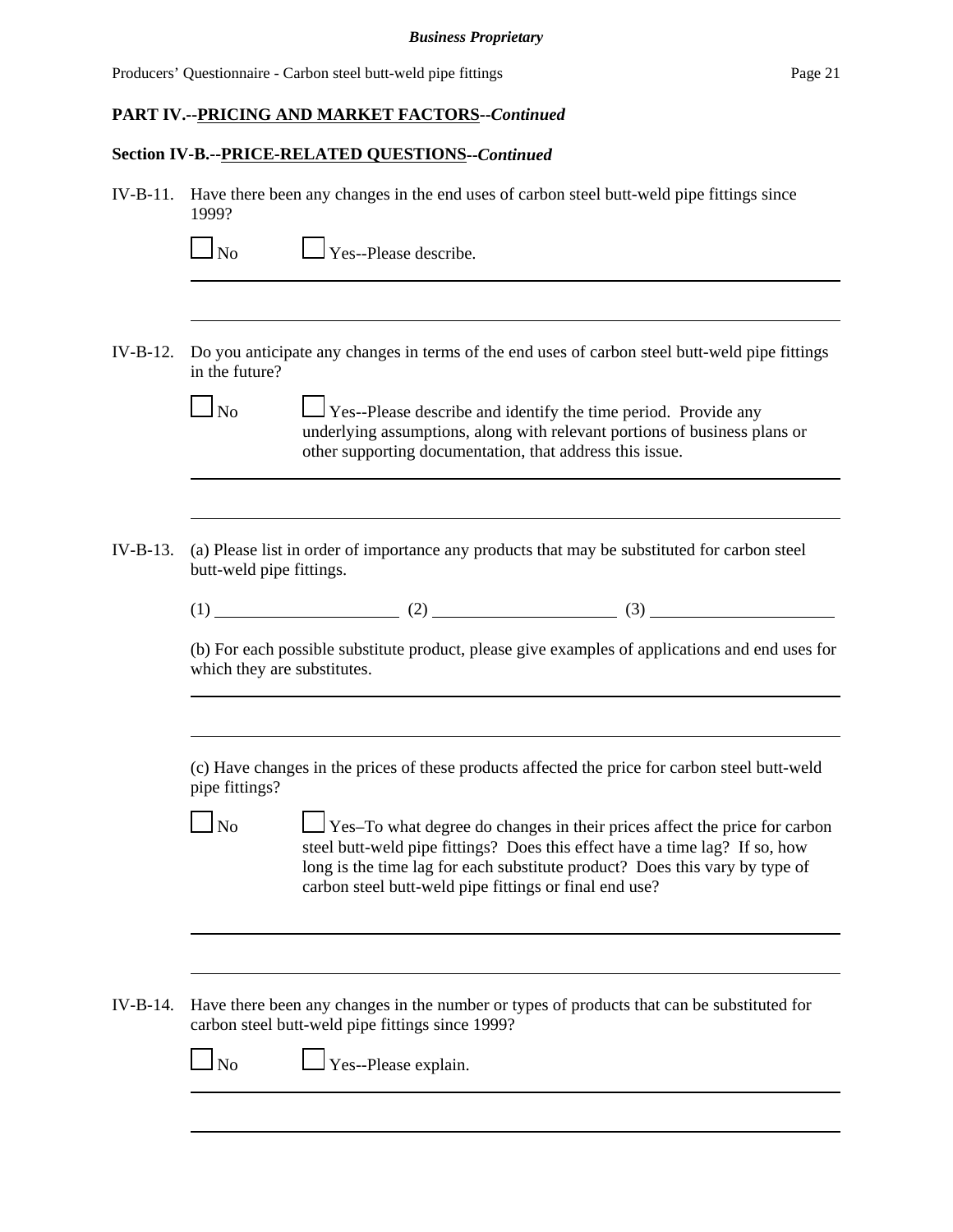# **Section IV-B.--PRICE-RELATED QUESTIONS--***Continued*

|            | 1999?                       | IV-B-11. Have there been any changes in the end uses of carbon steel butt-weld pipe fittings since                                                                                                                                                                                                |
|------------|-----------------------------|---------------------------------------------------------------------------------------------------------------------------------------------------------------------------------------------------------------------------------------------------------------------------------------------------|
|            | $\overline{\rm ~No}$        | $\Box$ Yes--Please describe.                                                                                                                                                                                                                                                                      |
|            |                             |                                                                                                                                                                                                                                                                                                   |
| $IV-B-12.$ | in the future?              | Do you anticipate any changes in terms of the end uses of carbon steel butt-weld pipe fittings                                                                                                                                                                                                    |
|            | $\Box$ No                   | Yes--Please describe and identify the time period. Provide any<br>underlying assumptions, along with relevant portions of business plans or<br>other supporting documentation, that address this issue.                                                                                           |
| $IV-B-13.$ | butt-weld pipe fittings.    | (a) Please list in order of importance any products that may be substituted for carbon steel                                                                                                                                                                                                      |
|            |                             | $(1)$ (1) (2) (2) (3) (3)                                                                                                                                                                                                                                                                         |
|            | which they are substitutes. | (b) For each possible substitute product, please give examples of applications and end uses for                                                                                                                                                                                                   |
|            | pipe fittings?              | (c) Have changes in the prices of these products affected the price for carbon steel butt-weld                                                                                                                                                                                                    |
|            | N <sub>o</sub>              | Yes-To what degree do changes in their prices affect the price for carbon<br>steel butt-weld pipe fittings? Does this effect have a time lag? If so, how<br>long is the time lag for each substitute product? Does this vary by type of<br>carbon steel butt-weld pipe fittings or final end use? |
|            |                             |                                                                                                                                                                                                                                                                                                   |
| IV-B-14.   |                             | Have there been any changes in the number or types of products that can be substituted for<br>carbon steel butt-weld pipe fittings since 1999?                                                                                                                                                    |
|            | N <sub>o</sub>              | Yes--Please explain.                                                                                                                                                                                                                                                                              |
|            |                             |                                                                                                                                                                                                                                                                                                   |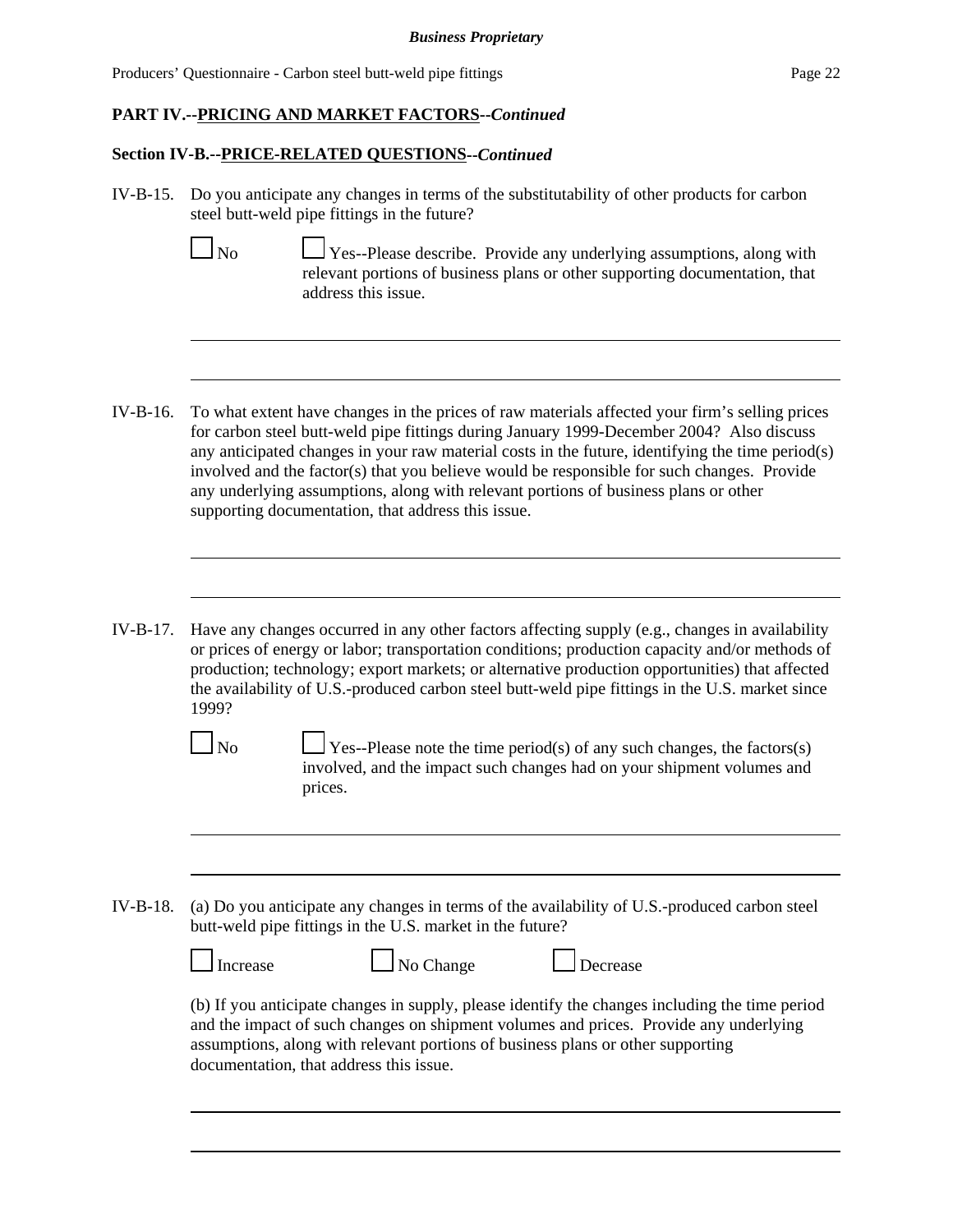Producers' Questionnaire - Carbon steel butt-weld pipe fittings Page 22

#### **Section IV-B.--PRICE-RELATED QUESTIONS--***Continued*

IV-B-15. Do you anticipate any changes in terms of the substitutability of other products for carbon steel butt-weld pipe fittings in the future?

 $\Box$  No  $\Box$  Yes--Please describe. Provide any underlying assumptions, along with relevant portions of business plans or other supporting documentation, that address this issue.

- IV-B-16. To what extent have changes in the prices of raw materials affected your firm's selling prices for carbon steel butt-weld pipe fittings during January 1999-December 2004? Also discuss any anticipated changes in your raw material costs in the future, identifying the time period(s) involved and the factor(s) that you believe would be responsible for such changes. Provide any underlying assumptions, along with relevant portions of business plans or other supporting documentation, that address this issue.
- IV-B-17. Have any changes occurred in any other factors affecting supply (e.g., changes in availability or prices of energy or labor; transportation conditions; production capacity and/or methods of production; technology; export markets; or alternative production opportunities) that affected the availability of U.S.-produced carbon steel butt-weld pipe fittings in the U.S. market since 1999?

 $\Box$  No  $\Box$  Yes--Please note the time period(s) of any such changes, the factors(s) involved, and the impact such changes had on your shipment volumes and prices.

IV-B-18. (a) Do you anticipate any changes in terms of the availability of U.S.-produced carbon steel butt-weld pipe fittings in the U.S. market in the future?

| $\Box$ Increase | $\Box$ No Change | $\Box$ Decrease                                                                        |  |
|-----------------|------------------|----------------------------------------------------------------------------------------|--|
|                 |                  | (b) If you entigipate changes in supply places identify the changes including the time |  |

(b) If you anticipate changes in supply, please identify the changes including the time period and the impact of such changes on shipment volumes and prices. Provide any underlying assumptions, along with relevant portions of business plans or other supporting documentation, that address this issue.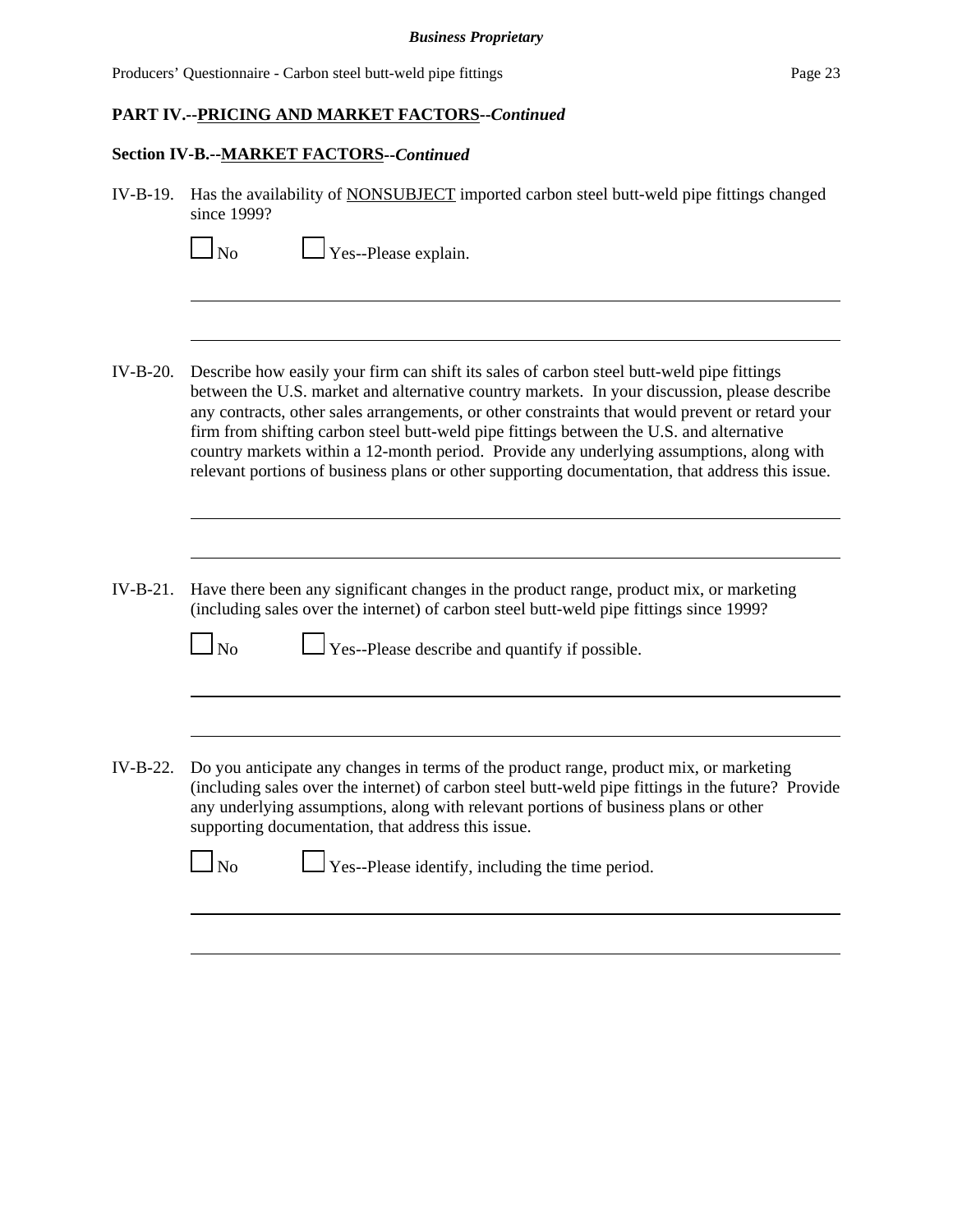Producers' Questionnaire - Carbon steel butt-weld pipe fittings Page 23

# **PART IV.--PRICING AND MARKET FACTORS--***Continued*

# **Section IV-B.--MARKET FACTORS--***Continued*

| $IV-B-19.$ | Has the availability of NONSUBJECT imported carbon steel butt-weld pipe fittings changed<br>since 1999?                                                                                                                                                                                                                                                                                                                                                                                                                                                                                 |
|------------|-----------------------------------------------------------------------------------------------------------------------------------------------------------------------------------------------------------------------------------------------------------------------------------------------------------------------------------------------------------------------------------------------------------------------------------------------------------------------------------------------------------------------------------------------------------------------------------------|
|            | Yes--Please explain.<br>N <sub>0</sub>                                                                                                                                                                                                                                                                                                                                                                                                                                                                                                                                                  |
|            |                                                                                                                                                                                                                                                                                                                                                                                                                                                                                                                                                                                         |
| $IV-B-20.$ | Describe how easily your firm can shift its sales of carbon steel butt-weld pipe fittings<br>between the U.S. market and alternative country markets. In your discussion, please describe<br>any contracts, other sales arrangements, or other constraints that would prevent or retard your<br>firm from shifting carbon steel butt-weld pipe fittings between the U.S. and alternative<br>country markets within a 12-month period. Provide any underlying assumptions, along with<br>relevant portions of business plans or other supporting documentation, that address this issue. |
|            |                                                                                                                                                                                                                                                                                                                                                                                                                                                                                                                                                                                         |
| $IV-B-21.$ | Have there been any significant changes in the product range, product mix, or marketing<br>(including sales over the internet) of carbon steel butt-weld pipe fittings since 1999?                                                                                                                                                                                                                                                                                                                                                                                                      |
|            | $\Box$ Yes--Please describe and quantify if possible.<br>$\log$                                                                                                                                                                                                                                                                                                                                                                                                                                                                                                                         |
|            |                                                                                                                                                                                                                                                                                                                                                                                                                                                                                                                                                                                         |
| $IV-B-22.$ | Do you anticipate any changes in terms of the product range, product mix, or marketing<br>(including sales over the internet) of carbon steel butt-weld pipe fittings in the future? Provide<br>any underlying assumptions, along with relevant portions of business plans or other<br>supporting documentation, that address this issue.                                                                                                                                                                                                                                               |
|            | Yes--Please identify, including the time period.<br>N <sub>0</sub>                                                                                                                                                                                                                                                                                                                                                                                                                                                                                                                      |
|            |                                                                                                                                                                                                                                                                                                                                                                                                                                                                                                                                                                                         |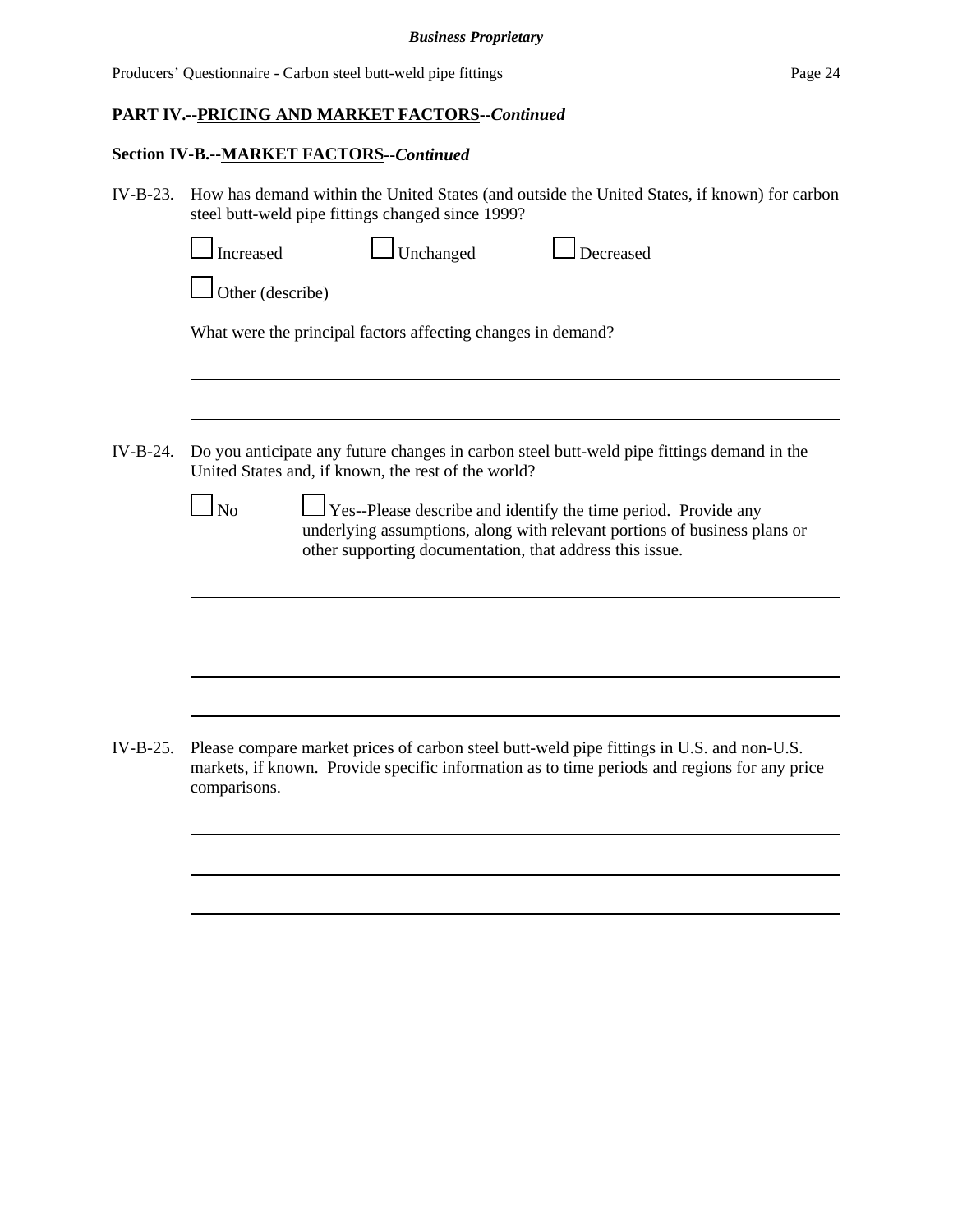# **Section IV-B.--MARKET FACTORS--***Continued*

| IV-B-23. How has demand within the United States (and outside the United States, if known) for carbon |
|-------------------------------------------------------------------------------------------------------|
| steel butt-weld pipe fittings changed since 1999?                                                     |

|            | Unchanged<br>Increased<br>Decreased                                                                                                                                                                                       |
|------------|---------------------------------------------------------------------------------------------------------------------------------------------------------------------------------------------------------------------------|
|            | Other (describe)                                                                                                                                                                                                          |
|            | What were the principal factors affecting changes in demand?                                                                                                                                                              |
|            |                                                                                                                                                                                                                           |
| IV-B-24.   | Do you anticipate any future changes in carbon steel butt-weld pipe fittings demand in the<br>United States and, if known, the rest of the world?                                                                         |
|            | Yes--Please describe and identify the time period. Provide any<br>N <sub>o</sub><br>underlying assumptions, along with relevant portions of business plans or<br>other supporting documentation, that address this issue. |
|            |                                                                                                                                                                                                                           |
|            |                                                                                                                                                                                                                           |
|            |                                                                                                                                                                                                                           |
| $IV-B-25.$ | Please compare market prices of carbon steel butt-weld pipe fittings in U.S. and non-U.S.<br>markets, if known. Provide specific information as to time periods and regions for any price<br>comparisons.                 |
|            |                                                                                                                                                                                                                           |
|            |                                                                                                                                                                                                                           |
|            |                                                                                                                                                                                                                           |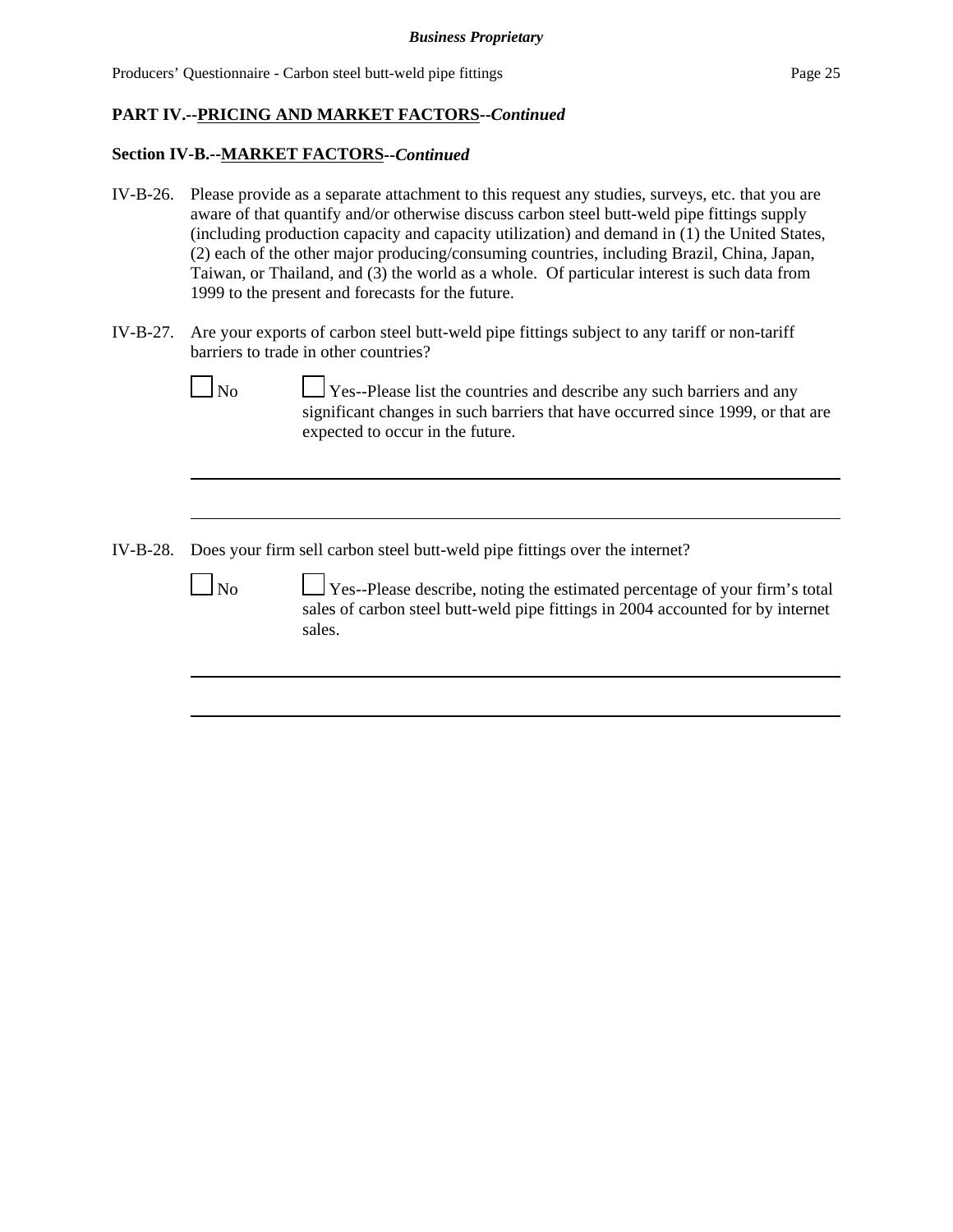#### **Section IV-B.--MARKET FACTORS--***Continued*

- IV-B-26. Please provide as a separate attachment to this request any studies, surveys, etc. that you are aware of that quantify and/or otherwise discuss carbon steel butt-weld pipe fittings supply (including production capacity and capacity utilization) and demand in (1) the United States, (2) each of the other major producing/consuming countries, including Brazil, China, Japan, Taiwan, or Thailand, and (3) the world as a whole. Of particular interest is such data from 1999 to the present and forecasts for the future.
- IV-B-27. Are your exports of carbon steel butt-weld pipe fittings subject to any tariff or non-tariff barriers to trade in other countries?

Yes--Please list the countries and describe any such barriers and any significant changes in such barriers that have occurred since 1999, or that are expected to occur in the future.

IV-B-28. Does your firm sell carbon steel butt-weld pipe fittings over the internet?

 $\Box$  No  $\Box$  Yes--Please describe, noting the estimated percentage of your firm's total sales of carbon steel butt-weld pipe fittings in 2004 accounted for by internet sales.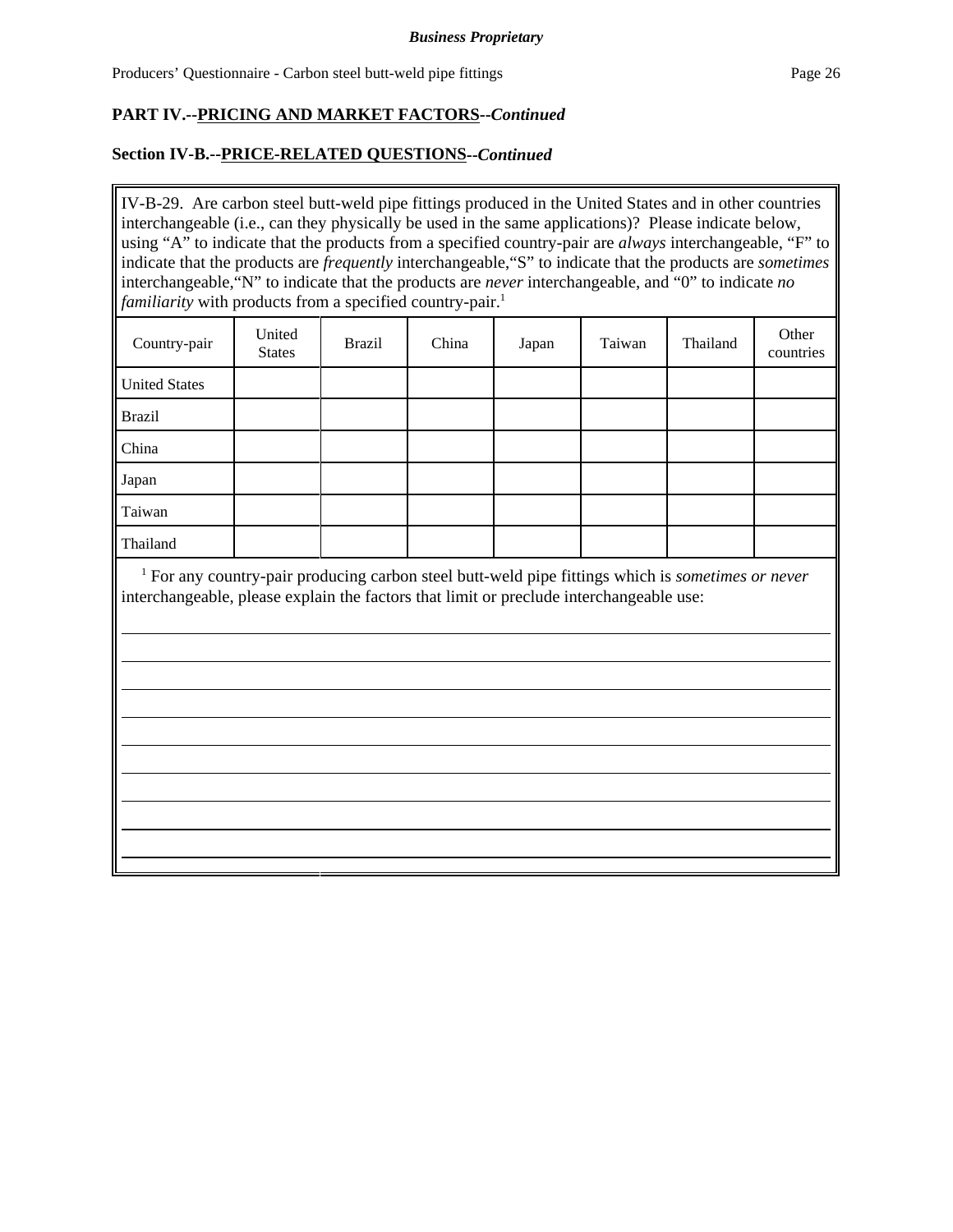### **Section IV-B.--PRICE-RELATED QUESTIONS--***Continued*

IV-B-29. Are carbon steel butt-weld pipe fittings produced in the United States and in other countries interchangeable (i.e., can they physically be used in the same applications)? Please indicate below, using "A" to indicate that the products from a specified country-pair are *always* interchangeable, "F" to indicate that the products are *frequently* interchangeable,"S" to indicate that the products are *sometimes* interchangeable,"N" to indicate that the products are *never* interchangeable, and "0" to indicate *no familiarity* with products from a specified country-pair.<sup>1</sup>

| Country-pair         | United<br><b>States</b> | <b>Brazil</b> | China | Japan | Taiwan | Thailand | Other<br>countries |
|----------------------|-------------------------|---------------|-------|-------|--------|----------|--------------------|
| <b>United States</b> |                         |               |       |       |        |          |                    |
| <b>Brazil</b>        |                         |               |       |       |        |          |                    |
| China                |                         |               |       |       |        |          |                    |
| Japan                |                         |               |       |       |        |          |                    |
| Taiwan               |                         |               |       |       |        |          |                    |
| Thailand             |                         |               |       |       |        |          |                    |

<sup>1</sup> For any country-pair producing carbon steel butt-weld pipe fittings which is *sometimes or never* interchangeable, please explain the factors that limit or preclude interchangeable use: